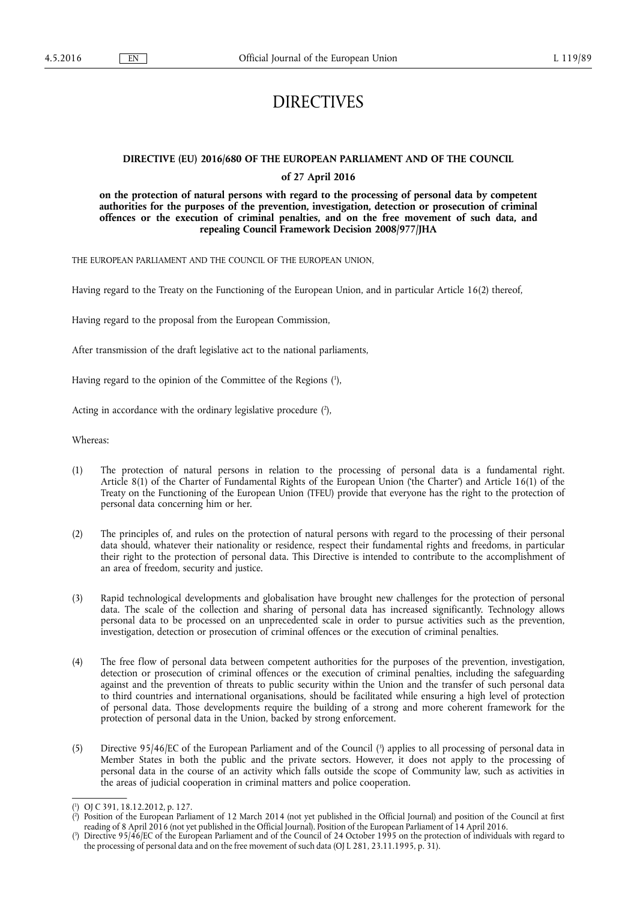# DIRECTIVES

# **DIRECTIVE (EU) 2016/680 OF THE EUROPEAN PARLIAMENT AND OF THE COUNCIL**

### **of 27 April 2016**

**on the protection of natural persons with regard to the processing of personal data by competent authorities for the purposes of the prevention, investigation, detection or prosecution of criminal offences or the execution of criminal penalties, and on the free movement of such data, and repealing Council Framework Decision 2008/977/JHA** 

THE EUROPEAN PARLIAMENT AND THE COUNCIL OF THE EUROPEAN UNION,

Having regard to the Treaty on the Functioning of the European Union, and in particular Article 16(2) thereof,

Having regard to the proposal from the European Commission,

After transmission of the draft legislative act to the national parliaments,

Having regard to the opinion of the Committee of the Regions ( 1 ),

Acting in accordance with the ordinary legislative procedure (2),

Whereas:

- (1) The protection of natural persons in relation to the processing of personal data is a fundamental right. Article 8(1) of the Charter of Fundamental Rights of the European Union ('the Charter') and Article 16(1) of the Treaty on the Functioning of the European Union (TFEU) provide that everyone has the right to the protection of personal data concerning him or her.
- (2) The principles of, and rules on the protection of natural persons with regard to the processing of their personal data should, whatever their nationality or residence, respect their fundamental rights and freedoms, in particular their right to the protection of personal data. This Directive is intended to contribute to the accomplishment of an area of freedom, security and justice.
- (3) Rapid technological developments and globalisation have brought new challenges for the protection of personal data. The scale of the collection and sharing of personal data has increased significantly. Technology allows personal data to be processed on an unprecedented scale in order to pursue activities such as the prevention, investigation, detection or prosecution of criminal offences or the execution of criminal penalties.
- (4) The free flow of personal data between competent authorities for the purposes of the prevention, investigation, detection or prosecution of criminal offences or the execution of criminal penalties, including the safeguarding against and the prevention of threats to public security within the Union and the transfer of such personal data to third countries and international organisations, should be facilitated while ensuring a high level of protection of personal data. Those developments require the building of a strong and more coherent framework for the protection of personal data in the Union, backed by strong enforcement.
- (5) Directive 95/46/EC of the European Parliament and of the Council ( 3 ) applies to all processing of personal data in Member States in both the public and the private sectors. However, it does not apply to the processing of personal data in the course of an activity which falls outside the scope of Community law, such as activities in the areas of judicial cooperation in criminal matters and police cooperation.

<sup>(</sup> 1 ) OJ C 391, 18.12.2012, p. 127.

 $(2)$ ) Position of the European Parliament of 12 March 2014 (not yet published in the Official Journal) and position of the Council at first reading of 8 April 2016 (not yet published in the Official Journal). Position of the European Parliament of 14 April 2016.

<sup>(</sup> 3 ) Directive 95/46/EC of the European Parliament and of the Council of 24 October 1995 on the protection of individuals with regard to the processing of personal data and on the free movement of such data (OJ L 281, 23.11.1995, p. 31).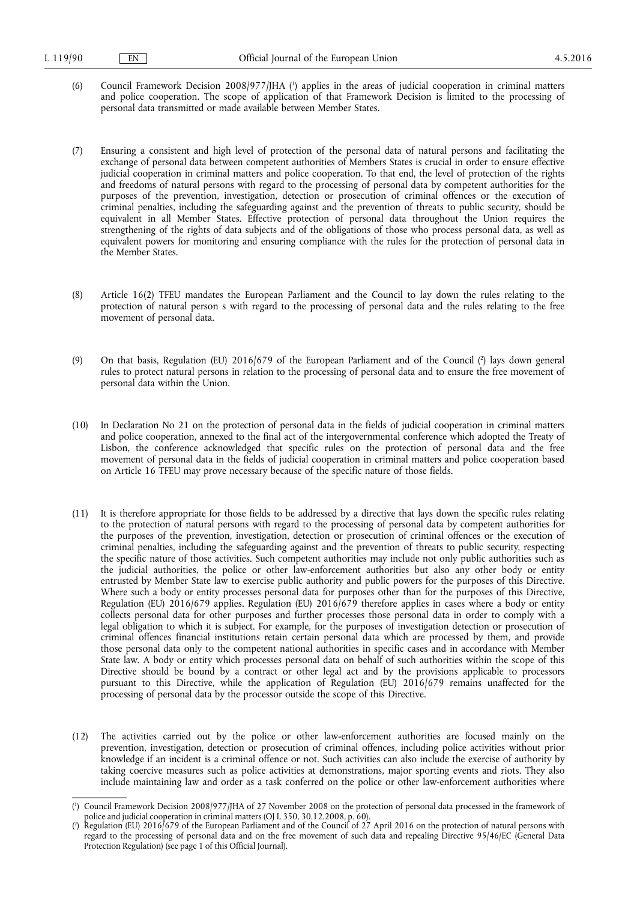(6) Council Framework Decision 2008/977/JHA ( 1 ) applies in the areas of judicial cooperation in criminal matters and police cooperation. The scope of application of that Framework Decision is limited to the processing of personal data transmitted or made available between Member States.

(7) Ensuring a consistent and high level of protection of the personal data of natural persons and facilitating the exchange of personal data between competent authorities of Members States is crucial in order to ensure effective judicial cooperation in criminal matters and police cooperation. To that end, the level of protection of the rights and freedoms of natural persons with regard to the processing of personal data by competent authorities for the purposes of the prevention, investigation, detection or prosecution of criminal offences or the execution of criminal penalties, including the safeguarding against and the prevention of threats to public security, should be equivalent in all Member States. Effective protection of personal data throughout the Union requires the strengthening of the rights of data subjects and of the obligations of those who process personal data, as well as equivalent powers for monitoring and ensuring compliance with the rules for the protection of personal data in the Member States.

- (8) Article 16(2) TFEU mandates the European Parliament and the Council to lay down the rules relating to the protection of natural person s with regard to the processing of personal data and the rules relating to the free movement of personal data.
- (9) On that basis, Regulation (EU) 2016/679 of the European Parliament and of the Council ( 2 ) lays down general rules to protect natural persons in relation to the processing of personal data and to ensure the free movement of personal data within the Union.
- (10) In Declaration No 21 on the protection of personal data in the fields of judicial cooperation in criminal matters and police cooperation, annexed to the final act of the intergovernmental conference which adopted the Treaty of Lisbon, the conference acknowledged that specific rules on the protection of personal data and the free movement of personal data in the fields of judicial cooperation in criminal matters and police cooperation based on Article 16 TFEU may prove necessary because of the specific nature of those fields.
- (11) It is therefore appropriate for those fields to be addressed by a directive that lays down the specific rules relating to the protection of natural persons with regard to the processing of personal data by competent authorities for the purposes of the prevention, investigation, detection or prosecution of criminal offences or the execution of criminal penalties, including the safeguarding against and the prevention of threats to public security, respecting the specific nature of those activities. Such competent authorities may include not only public authorities such as the judicial authorities, the police or other law-enforcement authorities but also any other body or entity entrusted by Member State law to exercise public authority and public powers for the purposes of this Directive. Where such a body or entity processes personal data for purposes other than for the purposes of this Directive, Regulation (EU)  $2016/679$  applies. Regulation (EU)  $2016/679$  therefore applies in cases where a body or entity collects personal data for other purposes and further processes those personal data in order to comply with a legal obligation to which it is subject. For example, for the purposes of investigation detection or prosecution of criminal offences financial institutions retain certain personal data which are processed by them, and provide those personal data only to the competent national authorities in specific cases and in accordance with Member State law. A body or entity which processes personal data on behalf of such authorities within the scope of this Directive should be bound by a contract or other legal act and by the provisions applicable to processors pursuant to this Directive, while the application of Regulation (EU) 2016/679 remains unaffected for the processing of personal data by the processor outside the scope of this Directive.
- (12) The activities carried out by the police or other law-enforcement authorities are focused mainly on the prevention, investigation, detection or prosecution of criminal offences, including police activities without prior knowledge if an incident is a criminal offence or not. Such activities can also include the exercise of authority by taking coercive measures such as police activities at demonstrations, major sporting events and riots. They also include maintaining law and order as a task conferred on the police or other law-enforcement authorities where

<sup>(</sup> 1 ) Council Framework Decision 2008/977/JHA of 27 November 2008 on the protection of personal data processed in the framework of police and judicial cooperation in criminal matters (OJ L 350, 30.12.2008, p. 60).

<sup>(</sup> 2 ) Regulation (EU) 2016/679 of the European Parliament and of the Council of 27 April 2016 on the protection of natural persons with regard to the processing of personal data and on the free movement of such data and repealing Directive 95/46/EC (General Data Protection Regulation) (see page 1 of this Official Journal).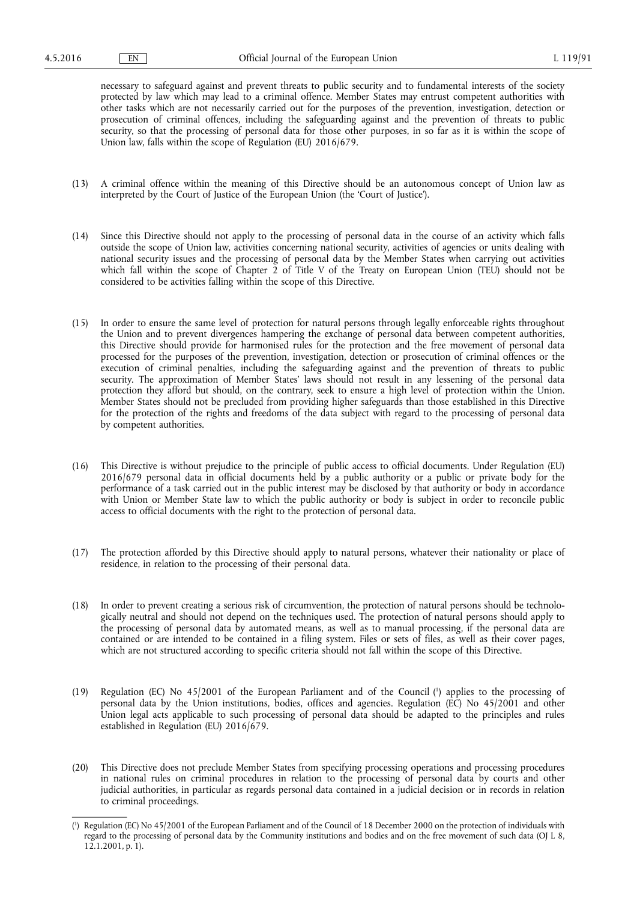necessary to safeguard against and prevent threats to public security and to fundamental interests of the society protected by law which may lead to a criminal offence. Member States may entrust competent authorities with other tasks which are not necessarily carried out for the purposes of the prevention, investigation, detection or prosecution of criminal offences, including the safeguarding against and the prevention of threats to public security, so that the processing of personal data for those other purposes, in so far as it is within the scope of Union law, falls within the scope of Regulation (EU) 2016/679.

- (13) A criminal offence within the meaning of this Directive should be an autonomous concept of Union law as interpreted by the Court of Justice of the European Union (the 'Court of Justice').
- (14) Since this Directive should not apply to the processing of personal data in the course of an activity which falls outside the scope of Union law, activities concerning national security, activities of agencies or units dealing with national security issues and the processing of personal data by the Member States when carrying out activities which fall within the scope of Chapter 2 of Title V of the Treaty on European Union (TEU) should not be considered to be activities falling within the scope of this Directive.
- (15) In order to ensure the same level of protection for natural persons through legally enforceable rights throughout the Union and to prevent divergences hampering the exchange of personal data between competent authorities, this Directive should provide for harmonised rules for the protection and the free movement of personal data processed for the purposes of the prevention, investigation, detection or prosecution of criminal offences or the execution of criminal penalties, including the safeguarding against and the prevention of threats to public security. The approximation of Member States' laws should not result in any lessening of the personal data protection they afford but should, on the contrary, seek to ensure a high level of protection within the Union. Member States should not be precluded from providing higher safeguards than those established in this Directive for the protection of the rights and freedoms of the data subject with regard to the processing of personal data by competent authorities.
- (16) This Directive is without prejudice to the principle of public access to official documents. Under Regulation (EU) 2016/679 personal data in official documents held by a public authority or a public or private body for the performance of a task carried out in the public interest may be disclosed by that authority or body in accordance with Union or Member State law to which the public authority or body is subject in order to reconcile public access to official documents with the right to the protection of personal data.
- (17) The protection afforded by this Directive should apply to natural persons, whatever their nationality or place of residence, in relation to the processing of their personal data.
- (18) In order to prevent creating a serious risk of circumvention, the protection of natural persons should be technologically neutral and should not depend on the techniques used. The protection of natural persons should apply to the processing of personal data by automated means, as well as to manual processing, if the personal data are contained or are intended to be contained in a filing system. Files or sets of files, as well as their cover pages, which are not structured according to specific criteria should not fall within the scope of this Directive.
- (19) Regulation (EC) No 45/2001 of the European Parliament and of the Council ( 1 ) applies to the processing of personal data by the Union institutions, bodies, offices and agencies. Regulation (EC) No 45/2001 and other Union legal acts applicable to such processing of personal data should be adapted to the principles and rules established in Regulation (EU) 2016/679.
- (20) This Directive does not preclude Member States from specifying processing operations and processing procedures in national rules on criminal procedures in relation to the processing of personal data by courts and other judicial authorities, in particular as regards personal data contained in a judicial decision or in records in relation to criminal proceedings.

<sup>(</sup> 1 ) Regulation (EC) No 45/2001 of the European Parliament and of the Council of 18 December 2000 on the protection of individuals with regard to the processing of personal data by the Community institutions and bodies and on the free movement of such data (OJ L 8, 12.1.2001, p. 1).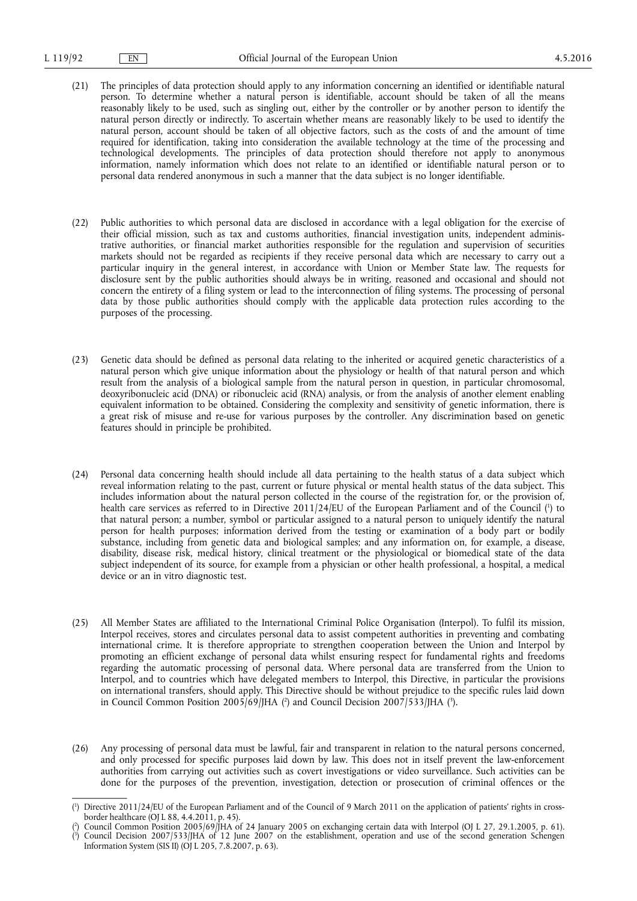- (21) The principles of data protection should apply to any information concerning an identified or identifiable natural person. To determine whether a natural person is identifiable, account should be taken of all the means reasonably likely to be used, such as singling out, either by the controller or by another person to identify the natural person directly or indirectly. To ascertain whether means are reasonably likely to be used to identify the natural person, account should be taken of all objective factors, such as the costs of and the amount of time required for identification, taking into consideration the available technology at the time of the processing and technological developments. The principles of data protection should therefore not apply to anonymous information, namely information which does not relate to an identified or identifiable natural person or to personal data rendered anonymous in such a manner that the data subject is no longer identifiable.
- (22) Public authorities to which personal data are disclosed in accordance with a legal obligation for the exercise of their official mission, such as tax and customs authorities, financial investigation units, independent administrative authorities, or financial market authorities responsible for the regulation and supervision of securities markets should not be regarded as recipients if they receive personal data which are necessary to carry out a particular inquiry in the general interest, in accordance with Union or Member State law. The requests for disclosure sent by the public authorities should always be in writing, reasoned and occasional and should not concern the entirety of a filing system or lead to the interconnection of filing systems. The processing of personal data by those public authorities should comply with the applicable data protection rules according to the purposes of the processing.
- (23) Genetic data should be defined as personal data relating to the inherited or acquired genetic characteristics of a natural person which give unique information about the physiology or health of that natural person and which result from the analysis of a biological sample from the natural person in question, in particular chromosomal, deoxyribonucleic acid (DNA) or ribonucleic acid (RNA) analysis, or from the analysis of another element enabling equivalent information to be obtained. Considering the complexity and sensitivity of genetic information, there is a great risk of misuse and re-use for various purposes by the controller. Any discrimination based on genetic features should in principle be prohibited.
- (24) Personal data concerning health should include all data pertaining to the health status of a data subject which reveal information relating to the past, current or future physical or mental health status of the data subject. This includes information about the natural person collected in the course of the registration for, or the provision of, health care services as referred to in Directive 2011/24/EU of the European Parliament and of the Council ( 1 ) to that natural person; a number, symbol or particular assigned to a natural person to uniquely identify the natural person for health purposes; information derived from the testing or examination of a body part or bodily substance, including from genetic data and biological samples; and any information on, for example, a disease, disability, disease risk, medical history, clinical treatment or the physiological or biomedical state of the data subject independent of its source, for example from a physician or other health professional, a hospital, a medical device or an in vitro diagnostic test.
- (25) All Member States are affiliated to the International Criminal Police Organisation (Interpol). To fulfil its mission, Interpol receives, stores and circulates personal data to assist competent authorities in preventing and combating international crime. It is therefore appropriate to strengthen cooperation between the Union and Interpol by promoting an efficient exchange of personal data whilst ensuring respect for fundamental rights and freedoms regarding the automatic processing of personal data. Where personal data are transferred from the Union to Interpol, and to countries which have delegated members to Interpol, this Directive, in particular the provisions on international transfers, should apply. This Directive should be without prejudice to the specific rules laid down in Council Common Position 2005/69/JHA  $(2)$  and Council Decision 2007/533/JHA  $(3)$ .
- (26) Any processing of personal data must be lawful, fair and transparent in relation to the natural persons concerned, and only processed for specific purposes laid down by law. This does not in itself prevent the law-enforcement authorities from carrying out activities such as covert investigations or video surveillance. Such activities can be done for the purposes of the prevention, investigation, detection or prosecution of criminal offences or the

<sup>(</sup> 1 ) Directive 2011/24/EU of the European Parliament and of the Council of 9 March 2011 on the application of patients' rights in crossborder healthcare (OJ L 88, 4.4.2011, p. 45).

<sup>(</sup> 2 ) Council Common Position 2005/69/JHA of 24 January 2005 on exchanging certain data with Interpol (OJ L 27, 29.1.2005, p. 61).

<sup>(</sup> 3 ) Council Decision 2007/533/JHA of 12 June 2007 on the establishment, operation and use of the second generation Schengen Information System (SIS II) (OJ L 205, 7.8.2007, p. 63).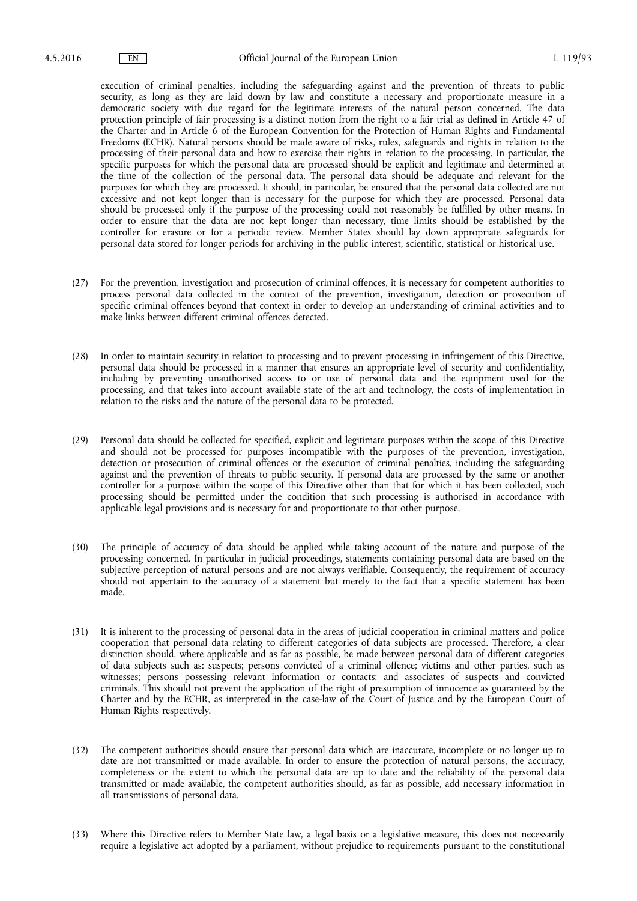execution of criminal penalties, including the safeguarding against and the prevention of threats to public security, as long as they are laid down by law and constitute a necessary and proportionate measure in a democratic society with due regard for the legitimate interests of the natural person concerned. The data protection principle of fair processing is a distinct notion from the right to a fair trial as defined in Article 47 of the Charter and in Article 6 of the European Convention for the Protection of Human Rights and Fundamental Freedoms (ECHR). Natural persons should be made aware of risks, rules, safeguards and rights in relation to the processing of their personal data and how to exercise their rights in relation to the processing. In particular, the specific purposes for which the personal data are processed should be explicit and legitimate and determined at the time of the collection of the personal data. The personal data should be adequate and relevant for the purposes for which they are processed. It should, in particular, be ensured that the personal data collected are not excessive and not kept longer than is necessary for the purpose for which they are processed. Personal data should be processed only if the purpose of the processing could not reasonably be fulfilled by other means. In order to ensure that the data are not kept longer than necessary, time limits should be established by the controller for erasure or for a periodic review. Member States should lay down appropriate safeguards for personal data stored for longer periods for archiving in the public interest, scientific, statistical or historical use.

- (27) For the prevention, investigation and prosecution of criminal offences, it is necessary for competent authorities to process personal data collected in the context of the prevention, investigation, detection or prosecution of specific criminal offences beyond that context in order to develop an understanding of criminal activities and to make links between different criminal offences detected.
- (28) In order to maintain security in relation to processing and to prevent processing in infringement of this Directive, personal data should be processed in a manner that ensures an appropriate level of security and confidentiality, including by preventing unauthorised access to or use of personal data and the equipment used for the processing, and that takes into account available state of the art and technology, the costs of implementation in relation to the risks and the nature of the personal data to be protected.
- (29) Personal data should be collected for specified, explicit and legitimate purposes within the scope of this Directive and should not be processed for purposes incompatible with the purposes of the prevention, investigation, detection or prosecution of criminal offences or the execution of criminal penalties, including the safeguarding against and the prevention of threats to public security. If personal data are processed by the same or another controller for a purpose within the scope of this Directive other than that for which it has been collected, such processing should be permitted under the condition that such processing is authorised in accordance with applicable legal provisions and is necessary for and proportionate to that other purpose.
- (30) The principle of accuracy of data should be applied while taking account of the nature and purpose of the processing concerned. In particular in judicial proceedings, statements containing personal data are based on the subjective perception of natural persons and are not always verifiable. Consequently, the requirement of accuracy should not appertain to the accuracy of a statement but merely to the fact that a specific statement has been made.
- (31) It is inherent to the processing of personal data in the areas of judicial cooperation in criminal matters and police cooperation that personal data relating to different categories of data subjects are processed. Therefore, a clear distinction should, where applicable and as far as possible, be made between personal data of different categories of data subjects such as: suspects; persons convicted of a criminal offence; victims and other parties, such as witnesses; persons possessing relevant information or contacts; and associates of suspects and convicted criminals. This should not prevent the application of the right of presumption of innocence as guaranteed by the Charter and by the ECHR, as interpreted in the case-law of the Court of Justice and by the European Court of Human Rights respectively.
- (32) The competent authorities should ensure that personal data which are inaccurate, incomplete or no longer up to date are not transmitted or made available. In order to ensure the protection of natural persons, the accuracy, completeness or the extent to which the personal data are up to date and the reliability of the personal data transmitted or made available, the competent authorities should, as far as possible, add necessary information in all transmissions of personal data.
- (33) Where this Directive refers to Member State law, a legal basis or a legislative measure, this does not necessarily require a legislative act adopted by a parliament, without prejudice to requirements pursuant to the constitutional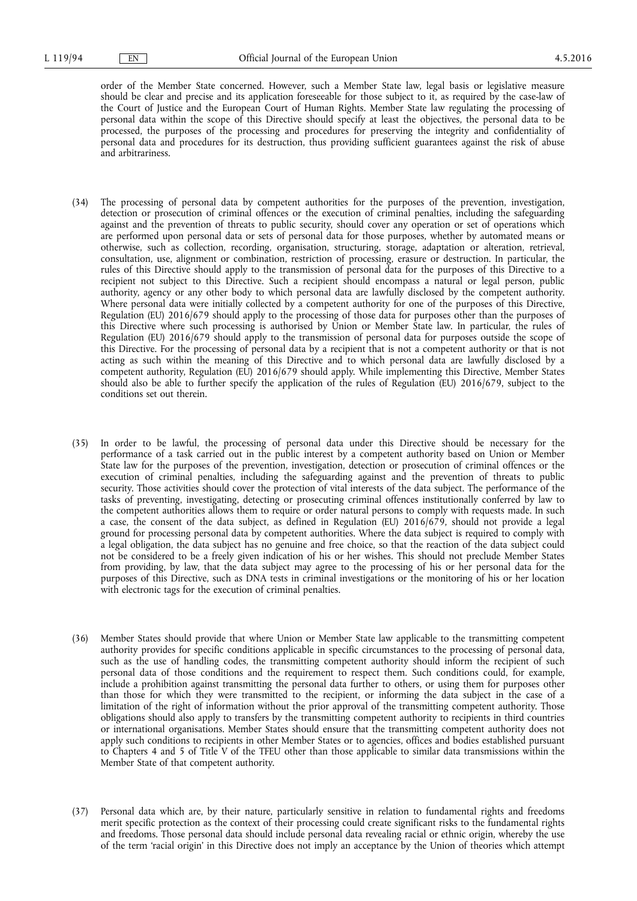order of the Member State concerned. However, such a Member State law, legal basis or legislative measure should be clear and precise and its application foreseeable for those subject to it, as required by the case-law of the Court of Justice and the European Court of Human Rights. Member State law regulating the processing of personal data within the scope of this Directive should specify at least the objectives, the personal data to be processed, the purposes of the processing and procedures for preserving the integrity and confidentiality of personal data and procedures for its destruction, thus providing sufficient guarantees against the risk of abuse and arbitrariness.

- (34) The processing of personal data by competent authorities for the purposes of the prevention, investigation, detection or prosecution of criminal offences or the execution of criminal penalties, including the safeguarding against and the prevention of threats to public security, should cover any operation or set of operations which are performed upon personal data or sets of personal data for those purposes, whether by automated means or otherwise, such as collection, recording, organisation, structuring, storage, adaptation or alteration, retrieval, consultation, use, alignment or combination, restriction of processing, erasure or destruction. In particular, the rules of this Directive should apply to the transmission of personal data for the purposes of this Directive to a recipient not subject to this Directive. Such a recipient should encompass a natural or legal person, public authority, agency or any other body to which personal data are lawfully disclosed by the competent authority. Where personal data were initially collected by a competent authority for one of the purposes of this Directive, Regulation (EU) 2016/679 should apply to the processing of those data for purposes other than the purposes of this Directive where such processing is authorised by Union or Member State law. In particular, the rules of Regulation (EU) 2016/679 should apply to the transmission of personal data for purposes outside the scope of this Directive. For the processing of personal data by a recipient that is not a competent authority or that is not acting as such within the meaning of this Directive and to which personal data are lawfully disclosed by a competent authority, Regulation (EU) 2016/679 should apply. While implementing this Directive, Member States should also be able to further specify the application of the rules of Regulation (EU) 2016/679, subject to the conditions set out therein.
- (35) In order to be lawful, the processing of personal data under this Directive should be necessary for the performance of a task carried out in the public interest by a competent authority based on Union or Member State law for the purposes of the prevention, investigation, detection or prosecution of criminal offences or the execution of criminal penalties, including the safeguarding against and the prevention of threats to public security. Those activities should cover the protection of vital interests of the data subject. The performance of the tasks of preventing, investigating, detecting or prosecuting criminal offences institutionally conferred by law to the competent authorities allows them to require or order natural persons to comply with requests made. In such a case, the consent of the data subject, as defined in Regulation (EU) 2016/679, should not provide a legal ground for processing personal data by competent authorities. Where the data subject is required to comply with a legal obligation, the data subject has no genuine and free choice, so that the reaction of the data subject could not be considered to be a freely given indication of his or her wishes. This should not preclude Member States from providing, by law, that the data subject may agree to the processing of his or her personal data for the purposes of this Directive, such as DNA tests in criminal investigations or the monitoring of his or her location with electronic tags for the execution of criminal penalties.
- (36) Member States should provide that where Union or Member State law applicable to the transmitting competent authority provides for specific conditions applicable in specific circumstances to the processing of personal data, such as the use of handling codes, the transmitting competent authority should inform the recipient of such personal data of those conditions and the requirement to respect them. Such conditions could, for example, include a prohibition against transmitting the personal data further to others, or using them for purposes other than those for which they were transmitted to the recipient, or informing the data subject in the case of a limitation of the right of information without the prior approval of the transmitting competent authority. Those obligations should also apply to transfers by the transmitting competent authority to recipients in third countries or international organisations. Member States should ensure that the transmitting competent authority does not apply such conditions to recipients in other Member States or to agencies, offices and bodies established pursuant to Chapters 4 and 5 of Title V of the TFEU other than those applicable to similar data transmissions within the Member State of that competent authority.
- (37) Personal data which are, by their nature, particularly sensitive in relation to fundamental rights and freedoms merit specific protection as the context of their processing could create significant risks to the fundamental rights and freedoms. Those personal data should include personal data revealing racial or ethnic origin, whereby the use of the term 'racial origin' in this Directive does not imply an acceptance by the Union of theories which attempt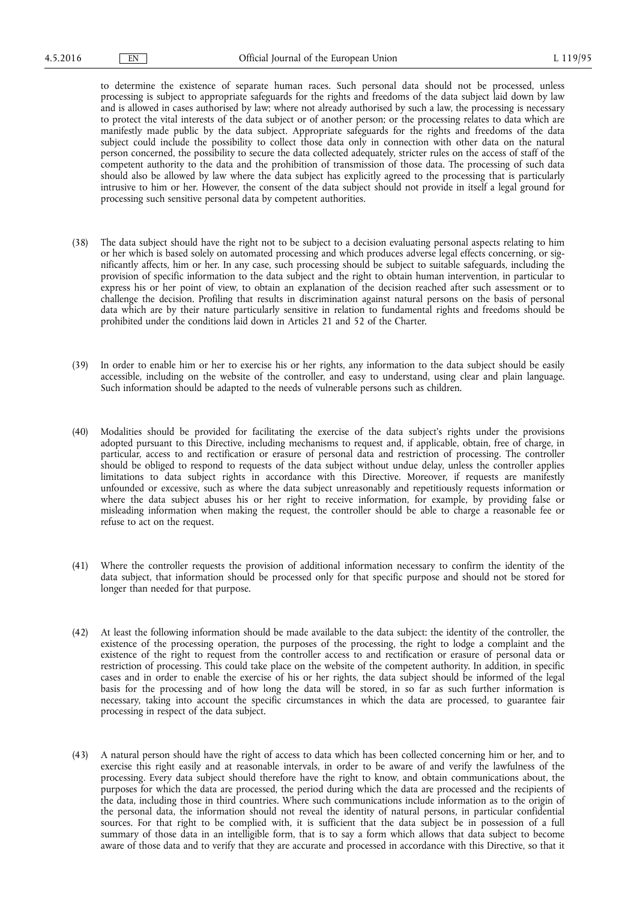to determine the existence of separate human races. Such personal data should not be processed, unless processing is subject to appropriate safeguards for the rights and freedoms of the data subject laid down by law and is allowed in cases authorised by law; where not already authorised by such a law, the processing is necessary to protect the vital interests of the data subject or of another person; or the processing relates to data which are manifestly made public by the data subject. Appropriate safeguards for the rights and freedoms of the data subject could include the possibility to collect those data only in connection with other data on the natural person concerned, the possibility to secure the data collected adequately, stricter rules on the access of staff of the competent authority to the data and the prohibition of transmission of those data. The processing of such data should also be allowed by law where the data subject has explicitly agreed to the processing that is particularly intrusive to him or her. However, the consent of the data subject should not provide in itself a legal ground for processing such sensitive personal data by competent authorities.

- (38) The data subject should have the right not to be subject to a decision evaluating personal aspects relating to him or her which is based solely on automated processing and which produces adverse legal effects concerning, or significantly affects, him or her. In any case, such processing should be subject to suitable safeguards, including the provision of specific information to the data subject and the right to obtain human intervention, in particular to express his or her point of view, to obtain an explanation of the decision reached after such assessment or to challenge the decision. Profiling that results in discrimination against natural persons on the basis of personal data which are by their nature particularly sensitive in relation to fundamental rights and freedoms should be prohibited under the conditions laid down in Articles 21 and 52 of the Charter.
- (39) In order to enable him or her to exercise his or her rights, any information to the data subject should be easily accessible, including on the website of the controller, and easy to understand, using clear and plain language. Such information should be adapted to the needs of vulnerable persons such as children.
- (40) Modalities should be provided for facilitating the exercise of the data subject's rights under the provisions adopted pursuant to this Directive, including mechanisms to request and, if applicable, obtain, free of charge, in particular, access to and rectification or erasure of personal data and restriction of processing. The controller should be obliged to respond to requests of the data subject without undue delay, unless the controller applies limitations to data subject rights in accordance with this Directive. Moreover, if requests are manifestly unfounded or excessive, such as where the data subject unreasonably and repetitiously requests information or where the data subject abuses his or her right to receive information, for example, by providing false or misleading information when making the request, the controller should be able to charge a reasonable fee or refuse to act on the request.
- (41) Where the controller requests the provision of additional information necessary to confirm the identity of the data subject, that information should be processed only for that specific purpose and should not be stored for longer than needed for that purpose.
- (42) At least the following information should be made available to the data subject: the identity of the controller, the existence of the processing operation, the purposes of the processing, the right to lodge a complaint and the existence of the right to request from the controller access to and rectification or erasure of personal data or restriction of processing. This could take place on the website of the competent authority. In addition, in specific cases and in order to enable the exercise of his or her rights, the data subject should be informed of the legal basis for the processing and of how long the data will be stored, in so far as such further information is necessary, taking into account the specific circumstances in which the data are processed, to guarantee fair processing in respect of the data subject.
- (43) A natural person should have the right of access to data which has been collected concerning him or her, and to exercise this right easily and at reasonable intervals, in order to be aware of and verify the lawfulness of the processing. Every data subject should therefore have the right to know, and obtain communications about, the purposes for which the data are processed, the period during which the data are processed and the recipients of the data, including those in third countries. Where such communications include information as to the origin of the personal data, the information should not reveal the identity of natural persons, in particular confidential sources. For that right to be complied with, it is sufficient that the data subject be in possession of a full summary of those data in an intelligible form, that is to say a form which allows that data subject to become aware of those data and to verify that they are accurate and processed in accordance with this Directive, so that it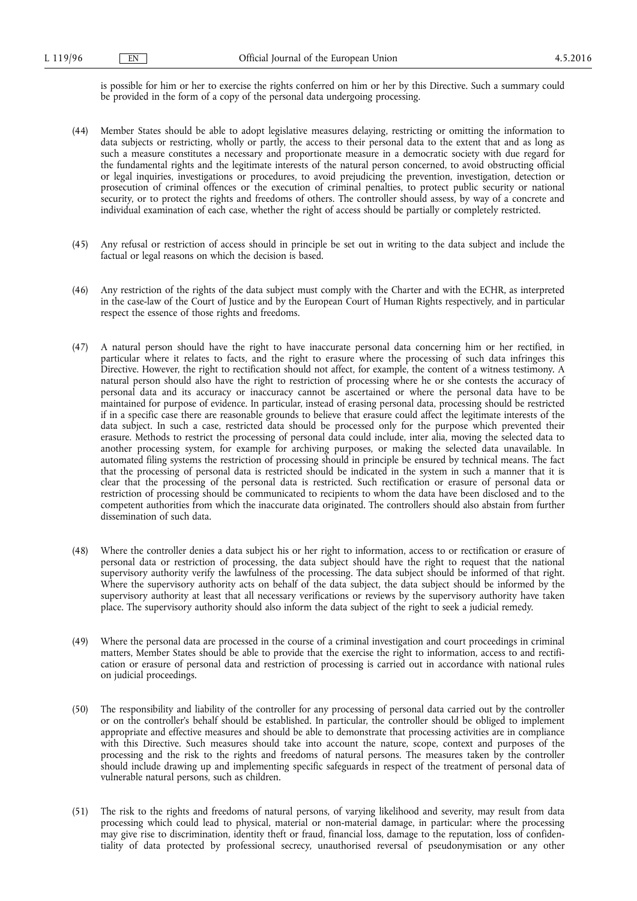is possible for him or her to exercise the rights conferred on him or her by this Directive. Such a summary could be provided in the form of a copy of the personal data undergoing processing.

- (44) Member States should be able to adopt legislative measures delaying, restricting or omitting the information to data subjects or restricting, wholly or partly, the access to their personal data to the extent that and as long as such a measure constitutes a necessary and proportionate measure in a democratic society with due regard for the fundamental rights and the legitimate interests of the natural person concerned, to avoid obstructing official or legal inquiries, investigations or procedures, to avoid prejudicing the prevention, investigation, detection or prosecution of criminal offences or the execution of criminal penalties, to protect public security or national security, or to protect the rights and freedoms of others. The controller should assess, by way of a concrete and individual examination of each case, whether the right of access should be partially or completely restricted.
- (45) Any refusal or restriction of access should in principle be set out in writing to the data subject and include the factual or legal reasons on which the decision is based.
- (46) Any restriction of the rights of the data subject must comply with the Charter and with the ECHR, as interpreted in the case-law of the Court of Justice and by the European Court of Human Rights respectively, and in particular respect the essence of those rights and freedoms.
- (47) A natural person should have the right to have inaccurate personal data concerning him or her rectified, in particular where it relates to facts, and the right to erasure where the processing of such data infringes this Directive. However, the right to rectification should not affect, for example, the content of a witness testimony. A natural person should also have the right to restriction of processing where he or she contests the accuracy of personal data and its accuracy or inaccuracy cannot be ascertained or where the personal data have to be maintained for purpose of evidence. In particular, instead of erasing personal data, processing should be restricted if in a specific case there are reasonable grounds to believe that erasure could affect the legitimate interests of the data subject. In such a case, restricted data should be processed only for the purpose which prevented their erasure. Methods to restrict the processing of personal data could include, inter alia, moving the selected data to another processing system, for example for archiving purposes, or making the selected data unavailable. In automated filing systems the restriction of processing should in principle be ensured by technical means. The fact that the processing of personal data is restricted should be indicated in the system in such a manner that it is clear that the processing of the personal data is restricted. Such rectification or erasure of personal data or restriction of processing should be communicated to recipients to whom the data have been disclosed and to the competent authorities from which the inaccurate data originated. The controllers should also abstain from further dissemination of such data.
- (48) Where the controller denies a data subject his or her right to information, access to or rectification or erasure of personal data or restriction of processing, the data subject should have the right to request that the national supervisory authority verify the lawfulness of the processing. The data subject should be informed of that right. Where the supervisory authority acts on behalf of the data subject, the data subject should be informed by the supervisory authority at least that all necessary verifications or reviews by the supervisory authority have taken place. The supervisory authority should also inform the data subject of the right to seek a judicial remedy.
- (49) Where the personal data are processed in the course of a criminal investigation and court proceedings in criminal matters, Member States should be able to provide that the exercise the right to information, access to and rectification or erasure of personal data and restriction of processing is carried out in accordance with national rules on judicial proceedings.
- (50) The responsibility and liability of the controller for any processing of personal data carried out by the controller or on the controller's behalf should be established. In particular, the controller should be obliged to implement appropriate and effective measures and should be able to demonstrate that processing activities are in compliance with this Directive. Such measures should take into account the nature, scope, context and purposes of the processing and the risk to the rights and freedoms of natural persons. The measures taken by the controller should include drawing up and implementing specific safeguards in respect of the treatment of personal data of vulnerable natural persons, such as children.
- (51) The risk to the rights and freedoms of natural persons, of varying likelihood and severity, may result from data processing which could lead to physical, material or non-material damage, in particular: where the processing may give rise to discrimination, identity theft or fraud, financial loss, damage to the reputation, loss of confidentiality of data protected by professional secrecy, unauthorised reversal of pseudonymisation or any other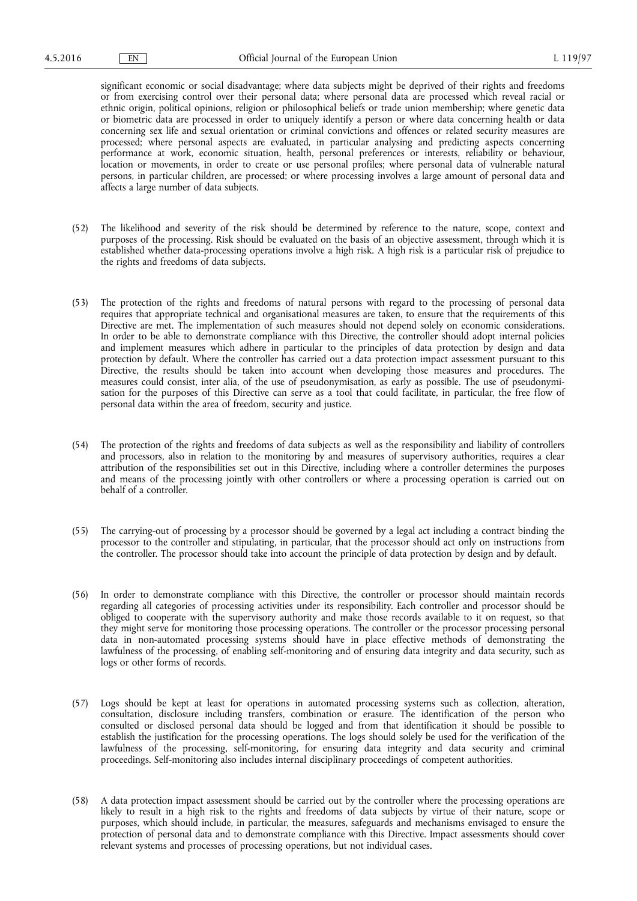significant economic or social disadvantage; where data subjects might be deprived of their rights and freedoms or from exercising control over their personal data; where personal data are processed which reveal racial or ethnic origin, political opinions, religion or philosophical beliefs or trade union membership; where genetic data or biometric data are processed in order to uniquely identify a person or where data concerning health or data concerning sex life and sexual orientation or criminal convictions and offences or related security measures are processed; where personal aspects are evaluated, in particular analysing and predicting aspects concerning performance at work, economic situation, health, personal preferences or interests, reliability or behaviour, location or movements, in order to create or use personal profiles; where personal data of vulnerable natural persons, in particular children, are processed; or where processing involves a large amount of personal data and affects a large number of data subjects.

- (52) The likelihood and severity of the risk should be determined by reference to the nature, scope, context and purposes of the processing. Risk should be evaluated on the basis of an objective assessment, through which it is established whether data-processing operations involve a high risk. A high risk is a particular risk of prejudice to the rights and freedoms of data subjects.
- (53) The protection of the rights and freedoms of natural persons with regard to the processing of personal data requires that appropriate technical and organisational measures are taken, to ensure that the requirements of this Directive are met. The implementation of such measures should not depend solely on economic considerations. In order to be able to demonstrate compliance with this Directive, the controller should adopt internal policies and implement measures which adhere in particular to the principles of data protection by design and data protection by default. Where the controller has carried out a data protection impact assessment pursuant to this Directive, the results should be taken into account when developing those measures and procedures. The measures could consist, inter alia, of the use of pseudonymisation, as early as possible. The use of pseudonymisation for the purposes of this Directive can serve as a tool that could facilitate, in particular, the free flow of personal data within the area of freedom, security and justice.
- (54) The protection of the rights and freedoms of data subjects as well as the responsibility and liability of controllers and processors, also in relation to the monitoring by and measures of supervisory authorities, requires a clear attribution of the responsibilities set out in this Directive, including where a controller determines the purposes and means of the processing jointly with other controllers or where a processing operation is carried out on behalf of a controller.
- (55) The carrying-out of processing by a processor should be governed by a legal act including a contract binding the processor to the controller and stipulating, in particular, that the processor should act only on instructions from the controller. The processor should take into account the principle of data protection by design and by default.
- (56) In order to demonstrate compliance with this Directive, the controller or processor should maintain records regarding all categories of processing activities under its responsibility. Each controller and processor should be obliged to cooperate with the supervisory authority and make those records available to it on request, so that they might serve for monitoring those processing operations. The controller or the processor processing personal data in non-automated processing systems should have in place effective methods of demonstrating the lawfulness of the processing, of enabling self-monitoring and of ensuring data integrity and data security, such as logs or other forms of records.
- (57) Logs should be kept at least for operations in automated processing systems such as collection, alteration, consultation, disclosure including transfers, combination or erasure. The identification of the person who consulted or disclosed personal data should be logged and from that identification it should be possible to establish the justification for the processing operations. The logs should solely be used for the verification of the lawfulness of the processing, self-monitoring, for ensuring data integrity and data security and criminal proceedings. Self-monitoring also includes internal disciplinary proceedings of competent authorities.
- (58) A data protection impact assessment should be carried out by the controller where the processing operations are likely to result in a high risk to the rights and freedoms of data subjects by virtue of their nature, scope or purposes, which should include, in particular, the measures, safeguards and mechanisms envisaged to ensure the protection of personal data and to demonstrate compliance with this Directive. Impact assessments should cover relevant systems and processes of processing operations, but not individual cases.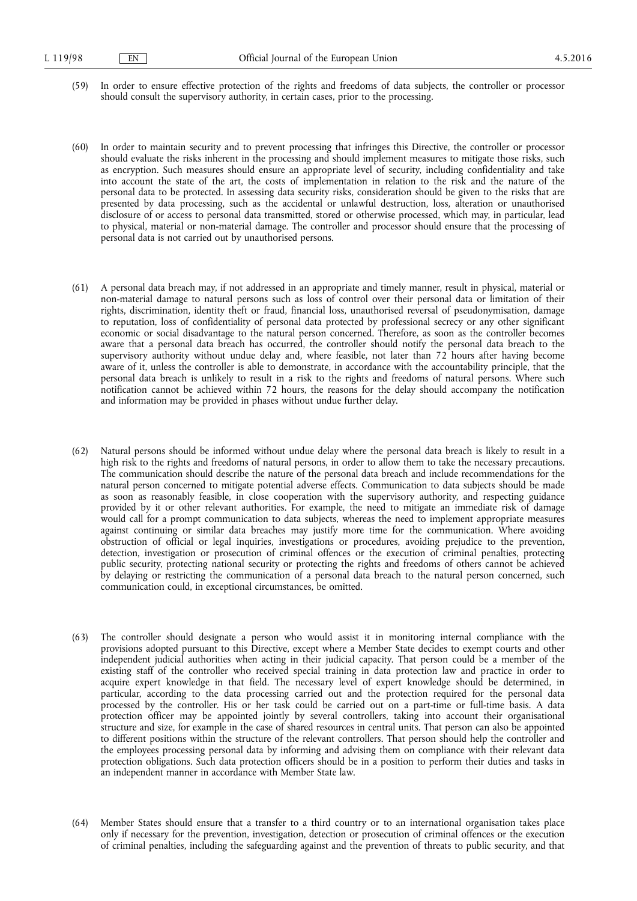- (59) In order to ensure effective protection of the rights and freedoms of data subjects, the controller or processor should consult the supervisory authority, in certain cases, prior to the processing.
- (60) In order to maintain security and to prevent processing that infringes this Directive, the controller or processor should evaluate the risks inherent in the processing and should implement measures to mitigate those risks, such as encryption. Such measures should ensure an appropriate level of security, including confidentiality and take into account the state of the art, the costs of implementation in relation to the risk and the nature of the personal data to be protected. In assessing data security risks, consideration should be given to the risks that are presented by data processing, such as the accidental or unlawful destruction, loss, alteration or unauthorised disclosure of or access to personal data transmitted, stored or otherwise processed, which may, in particular, lead to physical, material or non-material damage. The controller and processor should ensure that the processing of personal data is not carried out by unauthorised persons.
- (61) A personal data breach may, if not addressed in an appropriate and timely manner, result in physical, material or non-material damage to natural persons such as loss of control over their personal data or limitation of their rights, discrimination, identity theft or fraud, financial loss, unauthorised reversal of pseudonymisation, damage to reputation, loss of confidentiality of personal data protected by professional secrecy or any other significant economic or social disadvantage to the natural person concerned. Therefore, as soon as the controller becomes aware that a personal data breach has occurred, the controller should notify the personal data breach to the supervisory authority without undue delay and, where feasible, not later than 72 hours after having become aware of it, unless the controller is able to demonstrate, in accordance with the accountability principle, that the personal data breach is unlikely to result in a risk to the rights and freedoms of natural persons. Where such notification cannot be achieved within 72 hours, the reasons for the delay should accompany the notification and information may be provided in phases without undue further delay.
- (62) Natural persons should be informed without undue delay where the personal data breach is likely to result in a high risk to the rights and freedoms of natural persons, in order to allow them to take the necessary precautions. The communication should describe the nature of the personal data breach and include recommendations for the natural person concerned to mitigate potential adverse effects. Communication to data subjects should be made as soon as reasonably feasible, in close cooperation with the supervisory authority, and respecting guidance provided by it or other relevant authorities. For example, the need to mitigate an immediate risk of damage would call for a prompt communication to data subjects, whereas the need to implement appropriate measures against continuing or similar data breaches may justify more time for the communication. Where avoiding obstruction of official or legal inquiries, investigations or procedures, avoiding prejudice to the prevention, detection, investigation or prosecution of criminal offences or the execution of criminal penalties, protecting public security, protecting national security or protecting the rights and freedoms of others cannot be achieved by delaying or restricting the communication of a personal data breach to the natural person concerned, such communication could, in exceptional circumstances, be omitted.
- (63) The controller should designate a person who would assist it in monitoring internal compliance with the provisions adopted pursuant to this Directive, except where a Member State decides to exempt courts and other independent judicial authorities when acting in their judicial capacity. That person could be a member of the existing staff of the controller who received special training in data protection law and practice in order to acquire expert knowledge in that field. The necessary level of expert knowledge should be determined, in particular, according to the data processing carried out and the protection required for the personal data processed by the controller. His or her task could be carried out on a part-time or full-time basis. A data protection officer may be appointed jointly by several controllers, taking into account their organisational structure and size, for example in the case of shared resources in central units. That person can also be appointed to different positions within the structure of the relevant controllers. That person should help the controller and the employees processing personal data by informing and advising them on compliance with their relevant data protection obligations. Such data protection officers should be in a position to perform their duties and tasks in an independent manner in accordance with Member State law.
- (64) Member States should ensure that a transfer to a third country or to an international organisation takes place only if necessary for the prevention, investigation, detection or prosecution of criminal offences or the execution of criminal penalties, including the safeguarding against and the prevention of threats to public security, and that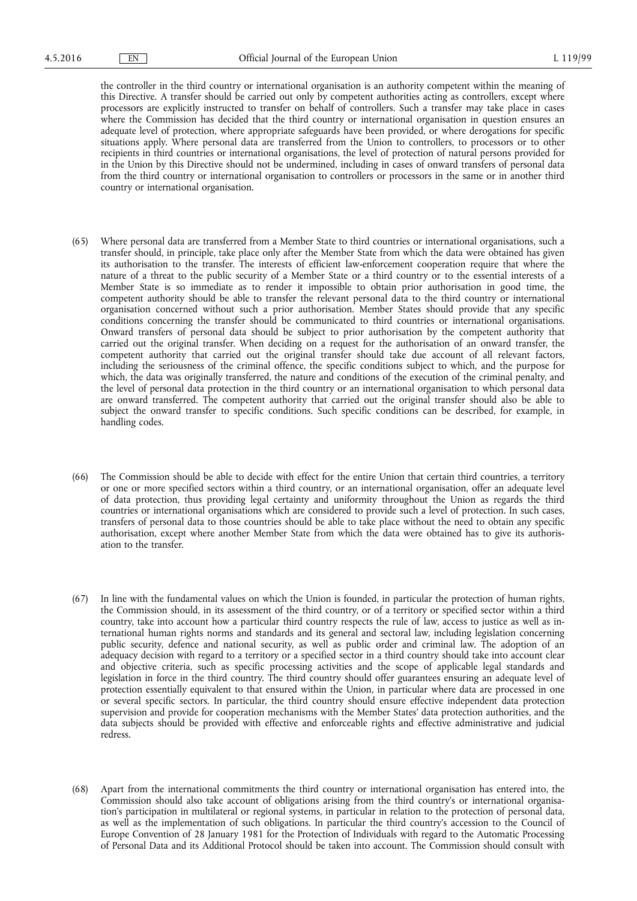the controller in the third country or international organisation is an authority competent within the meaning of this Directive. A transfer should be carried out only by competent authorities acting as controllers, except where processors are explicitly instructed to transfer on behalf of controllers. Such a transfer may take place in cases where the Commission has decided that the third country or international organisation in question ensures an adequate level of protection, where appropriate safeguards have been provided, or where derogations for specific situations apply. Where personal data are transferred from the Union to controllers, to processors or to other recipients in third countries or international organisations, the level of protection of natural persons provided for in the Union by this Directive should not be undermined, including in cases of onward transfers of personal data from the third country or international organisation to controllers or processors in the same or in another third country or international organisation.

- (65) Where personal data are transferred from a Member State to third countries or international organisations, such a transfer should, in principle, take place only after the Member State from which the data were obtained has given its authorisation to the transfer. The interests of efficient law-enforcement cooperation require that where the nature of a threat to the public security of a Member State or a third country or to the essential interests of a Member State is so immediate as to render it impossible to obtain prior authorisation in good time, the competent authority should be able to transfer the relevant personal data to the third country or international organisation concerned without such a prior authorisation. Member States should provide that any specific conditions concerning the transfer should be communicated to third countries or international organisations. Onward transfers of personal data should be subject to prior authorisation by the competent authority that carried out the original transfer. When deciding on a request for the authorisation of an onward transfer, the competent authority that carried out the original transfer should take due account of all relevant factors, including the seriousness of the criminal offence, the specific conditions subject to which, and the purpose for which, the data was originally transferred, the nature and conditions of the execution of the criminal penalty, and the level of personal data protection in the third country or an international organisation to which personal data are onward transferred. The competent authority that carried out the original transfer should also be able to subject the onward transfer to specific conditions. Such specific conditions can be described, for example, in handling codes.
- (66) The Commission should be able to decide with effect for the entire Union that certain third countries, a territory or one or more specified sectors within a third country, or an international organisation, offer an adequate level of data protection, thus providing legal certainty and uniformity throughout the Union as regards the third countries or international organisations which are considered to provide such a level of protection. In such cases, transfers of personal data to those countries should be able to take place without the need to obtain any specific authorisation, except where another Member State from which the data were obtained has to give its authorisation to the transfer.
- (67) In line with the fundamental values on which the Union is founded, in particular the protection of human rights, the Commission should, in its assessment of the third country, or of a territory or specified sector within a third country, take into account how a particular third country respects the rule of law, access to justice as well as international human rights norms and standards and its general and sectoral law, including legislation concerning public security, defence and national security, as well as public order and criminal law. The adoption of an adequacy decision with regard to a territory or a specified sector in a third country should take into account clear and objective criteria, such as specific processing activities and the scope of applicable legal standards and legislation in force in the third country. The third country should offer guarantees ensuring an adequate level of protection essentially equivalent to that ensured within the Union, in particular where data are processed in one or several specific sectors. In particular, the third country should ensure effective independent data protection supervision and provide for cooperation mechanisms with the Member States' data protection authorities, and the data subjects should be provided with effective and enforceable rights and effective administrative and judicial redress.
- (68) Apart from the international commitments the third country or international organisation has entered into, the Commission should also take account of obligations arising from the third country's or international organisation's participation in multilateral or regional systems, in particular in relation to the protection of personal data, as well as the implementation of such obligations. In particular the third country's accession to the Council of Europe Convention of 28 January 1981 for the Protection of Individuals with regard to the Automatic Processing of Personal Data and its Additional Protocol should be taken into account. The Commission should consult with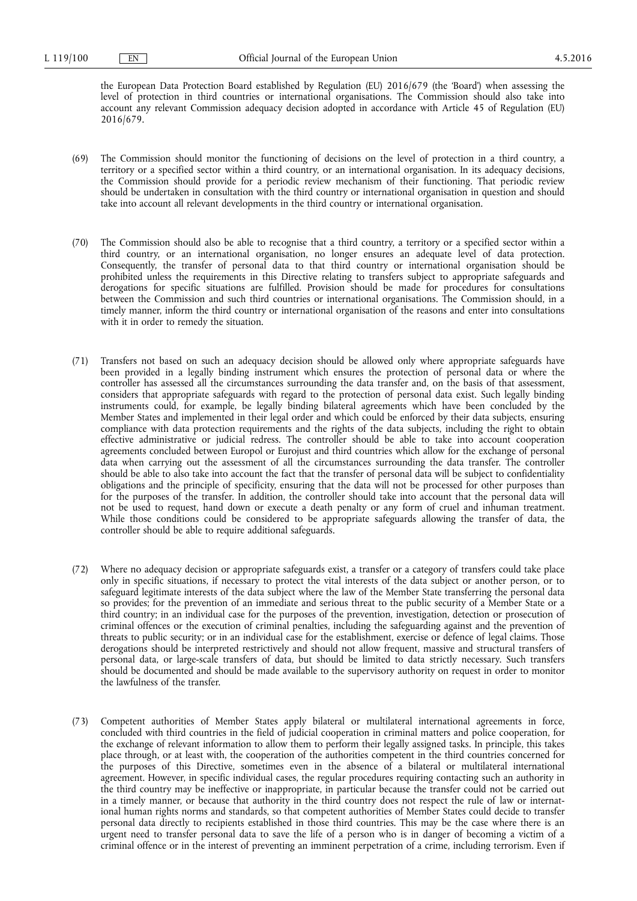the European Data Protection Board established by Regulation (EU) 2016/679 (the 'Board') when assessing the level of protection in third countries or international organisations. The Commission should also take into account any relevant Commission adequacy decision adopted in accordance with Article 45 of Regulation (EU) 2016/679.

- (69) The Commission should monitor the functioning of decisions on the level of protection in a third country, a territory or a specified sector within a third country, or an international organisation. In its adequacy decisions, the Commission should provide for a periodic review mechanism of their functioning. That periodic review should be undertaken in consultation with the third country or international organisation in question and should take into account all relevant developments in the third country or international organisation.
- (70) The Commission should also be able to recognise that a third country, a territory or a specified sector within a third country, or an international organisation, no longer ensures an adequate level of data protection. Consequently, the transfer of personal data to that third country or international organisation should be prohibited unless the requirements in this Directive relating to transfers subject to appropriate safeguards and derogations for specific situations are fulfilled. Provision should be made for procedures for consultations between the Commission and such third countries or international organisations. The Commission should, in a timely manner, inform the third country or international organisation of the reasons and enter into consultations with it in order to remedy the situation.
- (71) Transfers not based on such an adequacy decision should be allowed only where appropriate safeguards have been provided in a legally binding instrument which ensures the protection of personal data or where the controller has assessed all the circumstances surrounding the data transfer and, on the basis of that assessment, considers that appropriate safeguards with regard to the protection of personal data exist. Such legally binding instruments could, for example, be legally binding bilateral agreements which have been concluded by the Member States and implemented in their legal order and which could be enforced by their data subjects, ensuring compliance with data protection requirements and the rights of the data subjects, including the right to obtain effective administrative or judicial redress. The controller should be able to take into account cooperation agreements concluded between Europol or Eurojust and third countries which allow for the exchange of personal data when carrying out the assessment of all the circumstances surrounding the data transfer. The controller should be able to also take into account the fact that the transfer of personal data will be subject to confidentiality obligations and the principle of specificity, ensuring that the data will not be processed for other purposes than for the purposes of the transfer. In addition, the controller should take into account that the personal data will not be used to request, hand down or execute a death penalty or any form of cruel and inhuman treatment. While those conditions could be considered to be appropriate safeguards allowing the transfer of data, the controller should be able to require additional safeguards.
- (72) Where no adequacy decision or appropriate safeguards exist, a transfer or a category of transfers could take place only in specific situations, if necessary to protect the vital interests of the data subject or another person, or to safeguard legitimate interests of the data subject where the law of the Member State transferring the personal data so provides; for the prevention of an immediate and serious threat to the public security of a Member State or a third country; in an individual case for the purposes of the prevention, investigation, detection or prosecution of criminal offences or the execution of criminal penalties, including the safeguarding against and the prevention of threats to public security; or in an individual case for the establishment, exercise or defence of legal claims. Those derogations should be interpreted restrictively and should not allow frequent, massive and structural transfers of personal data, or large-scale transfers of data, but should be limited to data strictly necessary. Such transfers should be documented and should be made available to the supervisory authority on request in order to monitor the lawfulness of the transfer.
- (73) Competent authorities of Member States apply bilateral or multilateral international agreements in force, concluded with third countries in the field of judicial cooperation in criminal matters and police cooperation, for the exchange of relevant information to allow them to perform their legally assigned tasks. In principle, this takes place through, or at least with, the cooperation of the authorities competent in the third countries concerned for the purposes of this Directive, sometimes even in the absence of a bilateral or multilateral international agreement. However, in specific individual cases, the regular procedures requiring contacting such an authority in the third country may be ineffective or inappropriate, in particular because the transfer could not be carried out in a timely manner, or because that authority in the third country does not respect the rule of law or international human rights norms and standards, so that competent authorities of Member States could decide to transfer personal data directly to recipients established in those third countries. This may be the case where there is an urgent need to transfer personal data to save the life of a person who is in danger of becoming a victim of a criminal offence or in the interest of preventing an imminent perpetration of a crime, including terrorism. Even if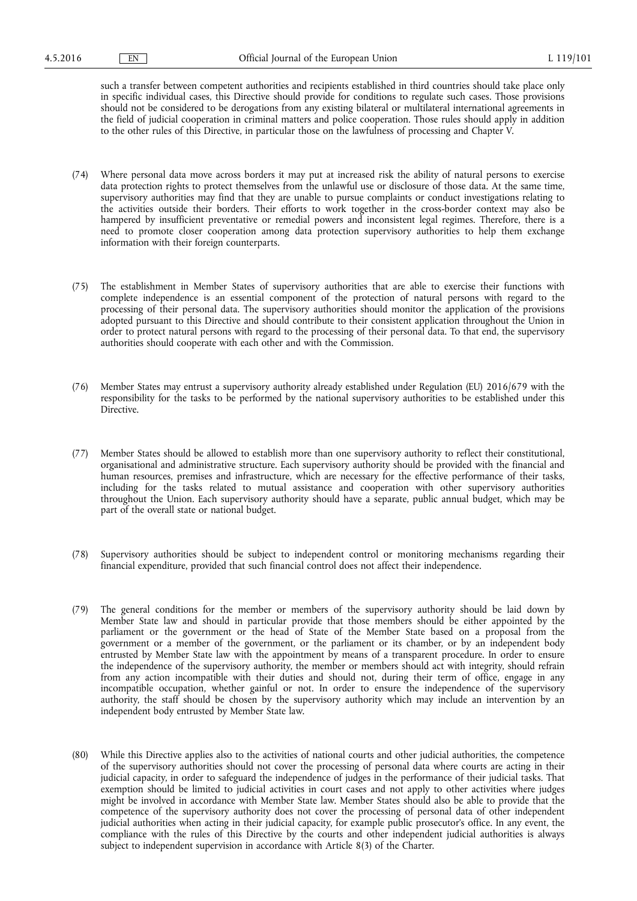such a transfer between competent authorities and recipients established in third countries should take place only in specific individual cases, this Directive should provide for conditions to regulate such cases. Those provisions should not be considered to be derogations from any existing bilateral or multilateral international agreements in the field of judicial cooperation in criminal matters and police cooperation. Those rules should apply in addition to the other rules of this Directive, in particular those on the lawfulness of processing and Chapter V.

- (74) Where personal data move across borders it may put at increased risk the ability of natural persons to exercise data protection rights to protect themselves from the unlawful use or disclosure of those data. At the same time, supervisory authorities may find that they are unable to pursue complaints or conduct investigations relating to the activities outside their borders. Their efforts to work together in the cross-border context may also be hampered by insufficient preventative or remedial powers and inconsistent legal regimes. Therefore, there is a need to promote closer cooperation among data protection supervisory authorities to help them exchange information with their foreign counterparts.
- (75) The establishment in Member States of supervisory authorities that are able to exercise their functions with complete independence is an essential component of the protection of natural persons with regard to the processing of their personal data. The supervisory authorities should monitor the application of the provisions adopted pursuant to this Directive and should contribute to their consistent application throughout the Union in order to protect natural persons with regard to the processing of their personal data. To that end, the supervisory authorities should cooperate with each other and with the Commission.
- (76) Member States may entrust a supervisory authority already established under Regulation (EU) 2016/679 with the responsibility for the tasks to be performed by the national supervisory authorities to be established under this Directive.
- (77) Member States should be allowed to establish more than one supervisory authority to reflect their constitutional, organisational and administrative structure. Each supervisory authority should be provided with the financial and human resources, premises and infrastructure, which are necessary for the effective performance of their tasks, including for the tasks related to mutual assistance and cooperation with other supervisory authorities throughout the Union. Each supervisory authority should have a separate, public annual budget, which may be part of the overall state or national budget.
- (78) Supervisory authorities should be subject to independent control or monitoring mechanisms regarding their financial expenditure, provided that such financial control does not affect their independence.
- (79) The general conditions for the member or members of the supervisory authority should be laid down by Member State law and should in particular provide that those members should be either appointed by the parliament or the government or the head of State of the Member State based on a proposal from the government or a member of the government, or the parliament or its chamber, or by an independent body entrusted by Member State law with the appointment by means of a transparent procedure. In order to ensure the independence of the supervisory authority, the member or members should act with integrity, should refrain from any action incompatible with their duties and should not, during their term of office, engage in any incompatible occupation, whether gainful or not. In order to ensure the independence of the supervisory authority, the staff should be chosen by the supervisory authority which may include an intervention by an independent body entrusted by Member State law.
- (80) While this Directive applies also to the activities of national courts and other judicial authorities, the competence of the supervisory authorities should not cover the processing of personal data where courts are acting in their judicial capacity, in order to safeguard the independence of judges in the performance of their judicial tasks. That exemption should be limited to judicial activities in court cases and not apply to other activities where judges might be involved in accordance with Member State law. Member States should also be able to provide that the competence of the supervisory authority does not cover the processing of personal data of other independent judicial authorities when acting in their judicial capacity, for example public prosecutor's office. In any event, the compliance with the rules of this Directive by the courts and other independent judicial authorities is always subject to independent supervision in accordance with Article 8(3) of the Charter.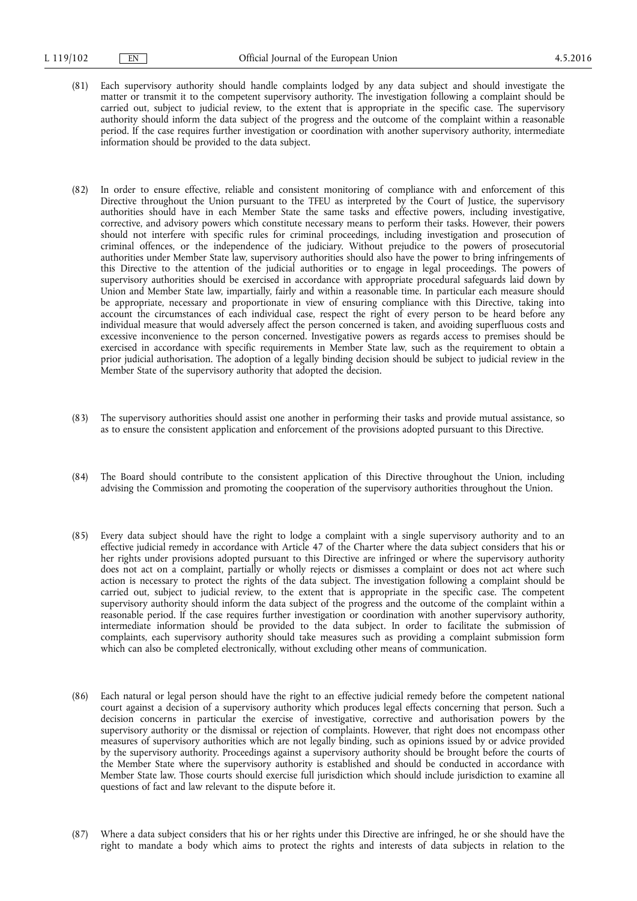- (81) Each supervisory authority should handle complaints lodged by any data subject and should investigate the matter or transmit it to the competent supervisory authority. The investigation following a complaint should be carried out, subject to judicial review, to the extent that is appropriate in the specific case. The supervisory authority should inform the data subject of the progress and the outcome of the complaint within a reasonable period. If the case requires further investigation or coordination with another supervisory authority, intermediate information should be provided to the data subject.
- (82) In order to ensure effective, reliable and consistent monitoring of compliance with and enforcement of this Directive throughout the Union pursuant to the TFEU as interpreted by the Court of Justice, the supervisory authorities should have in each Member State the same tasks and effective powers, including investigative, corrective, and advisory powers which constitute necessary means to perform their tasks. However, their powers should not interfere with specific rules for criminal proceedings, including investigation and prosecution of criminal offences, or the independence of the judiciary. Without prejudice to the powers of prosecutorial authorities under Member State law, supervisory authorities should also have the power to bring infringements of this Directive to the attention of the judicial authorities or to engage in legal proceedings. The powers of supervisory authorities should be exercised in accordance with appropriate procedural safeguards laid down by Union and Member State law, impartially, fairly and within a reasonable time. In particular each measure should be appropriate, necessary and proportionate in view of ensuring compliance with this Directive, taking into account the circumstances of each individual case, respect the right of every person to be heard before any individual measure that would adversely affect the person concerned is taken, and avoiding superfluous costs and excessive inconvenience to the person concerned. Investigative powers as regards access to premises should be exercised in accordance with specific requirements in Member State law, such as the requirement to obtain a prior judicial authorisation. The adoption of a legally binding decision should be subject to judicial review in the Member State of the supervisory authority that adopted the decision.
- (83) The supervisory authorities should assist one another in performing their tasks and provide mutual assistance, so as to ensure the consistent application and enforcement of the provisions adopted pursuant to this Directive.
- (84) The Board should contribute to the consistent application of this Directive throughout the Union, including advising the Commission and promoting the cooperation of the supervisory authorities throughout the Union.
- (85) Every data subject should have the right to lodge a complaint with a single supervisory authority and to an effective judicial remedy in accordance with Article 47 of the Charter where the data subject considers that his or her rights under provisions adopted pursuant to this Directive are infringed or where the supervisory authority does not act on a complaint, partially or wholly rejects or dismisses a complaint or does not act where such action is necessary to protect the rights of the data subject. The investigation following a complaint should be carried out, subject to judicial review, to the extent that is appropriate in the specific case. The competent supervisory authority should inform the data subject of the progress and the outcome of the complaint within a reasonable period. If the case requires further investigation or coordination with another supervisory authority, intermediate information should be provided to the data subject. In order to facilitate the submission of complaints, each supervisory authority should take measures such as providing a complaint submission form which can also be completed electronically, without excluding other means of communication.
- (86) Each natural or legal person should have the right to an effective judicial remedy before the competent national court against a decision of a supervisory authority which produces legal effects concerning that person. Such a decision concerns in particular the exercise of investigative, corrective and authorisation powers by the supervisory authority or the dismissal or rejection of complaints. However, that right does not encompass other measures of supervisory authorities which are not legally binding, such as opinions issued by or advice provided by the supervisory authority. Proceedings against a supervisory authority should be brought before the courts of the Member State where the supervisory authority is established and should be conducted in accordance with Member State law. Those courts should exercise full jurisdiction which should include jurisdiction to examine all questions of fact and law relevant to the dispute before it.
- (87) Where a data subject considers that his or her rights under this Directive are infringed, he or she should have the right to mandate a body which aims to protect the rights and interests of data subjects in relation to the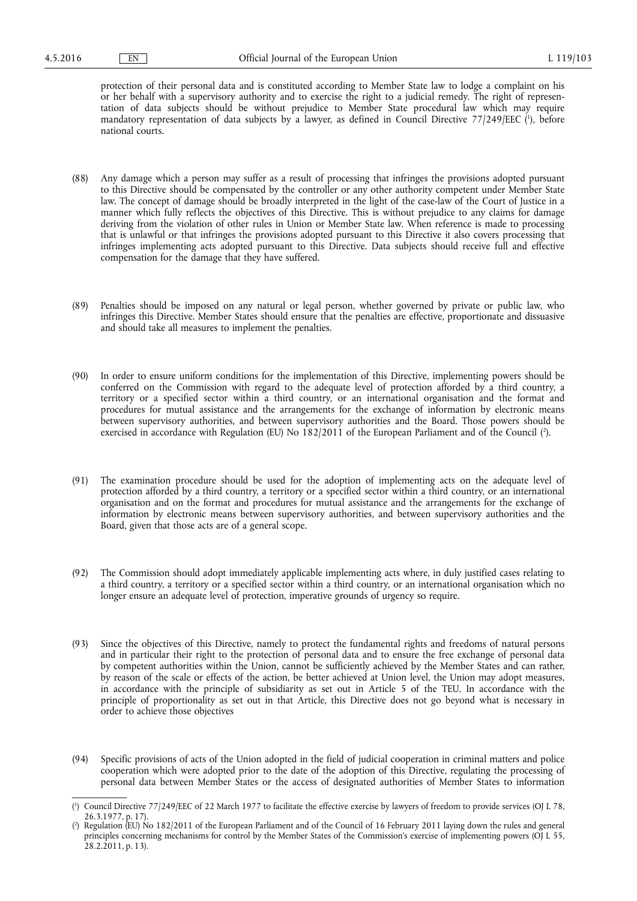protection of their personal data and is constituted according to Member State law to lodge a complaint on his or her behalf with a supervisory authority and to exercise the right to a judicial remedy. The right of representation of data subjects should be without prejudice to Member State procedural law which may require mandatory representation of data subjects by a lawyer, as defined in Council Directive 77/249/EEC ( 1 ), before national courts.

- (88) Any damage which a person may suffer as a result of processing that infringes the provisions adopted pursuant to this Directive should be compensated by the controller or any other authority competent under Member State law. The concept of damage should be broadly interpreted in the light of the case-law of the Court of Justice in a manner which fully reflects the objectives of this Directive. This is without prejudice to any claims for damage deriving from the violation of other rules in Union or Member State law. When reference is made to processing that is unlawful or that infringes the provisions adopted pursuant to this Directive it also covers processing that infringes implementing acts adopted pursuant to this Directive. Data subjects should receive full and effective compensation for the damage that they have suffered.
- (89) Penalties should be imposed on any natural or legal person, whether governed by private or public law, who infringes this Directive. Member States should ensure that the penalties are effective, proportionate and dissuasive and should take all measures to implement the penalties.
- (90) In order to ensure uniform conditions for the implementation of this Directive, implementing powers should be conferred on the Commission with regard to the adequate level of protection afforded by a third country, a territory or a specified sector within a third country, or an international organisation and the format and procedures for mutual assistance and the arrangements for the exchange of information by electronic means between supervisory authorities, and between supervisory authorities and the Board. Those powers should be exercised in accordance with Regulation (EU) No 182/2011 of the European Parliament and of the Council ( 2 ).
- (91) The examination procedure should be used for the adoption of implementing acts on the adequate level of protection afforded by a third country, a territory or a specified sector within a third country, or an international organisation and on the format and procedures for mutual assistance and the arrangements for the exchange of information by electronic means between supervisory authorities, and between supervisory authorities and the Board, given that those acts are of a general scope.
- (92) The Commission should adopt immediately applicable implementing acts where, in duly justified cases relating to a third country, a territory or a specified sector within a third country, or an international organisation which no longer ensure an adequate level of protection, imperative grounds of urgency so require.
- (93) Since the objectives of this Directive, namely to protect the fundamental rights and freedoms of natural persons and in particular their right to the protection of personal data and to ensure the free exchange of personal data by competent authorities within the Union, cannot be sufficiently achieved by the Member States and can rather, by reason of the scale or effects of the action, be better achieved at Union level, the Union may adopt measures, in accordance with the principle of subsidiarity as set out in Article 5 of the TEU. In accordance with the principle of proportionality as set out in that Article, this Directive does not go beyond what is necessary in order to achieve those objectives
- (94) Specific provisions of acts of the Union adopted in the field of judicial cooperation in criminal matters and police cooperation which were adopted prior to the date of the adoption of this Directive, regulating the processing of personal data between Member States or the access of designated authorities of Member States to information

<sup>(</sup> 1 ) Council Directive 77/249/EEC of 22 March 1977 to facilitate the effective exercise by lawyers of freedom to provide services (OJ L 78, 26.3.1977, p. 17).

<sup>(</sup> 2 ) Regulation (EU) No 182/2011 of the European Parliament and of the Council of 16 February 2011 laying down the rules and general principles concerning mechanisms for control by the Member States of the Commission's exercise of implementing powers (OJ L 55, 28.2.2011, p. 13).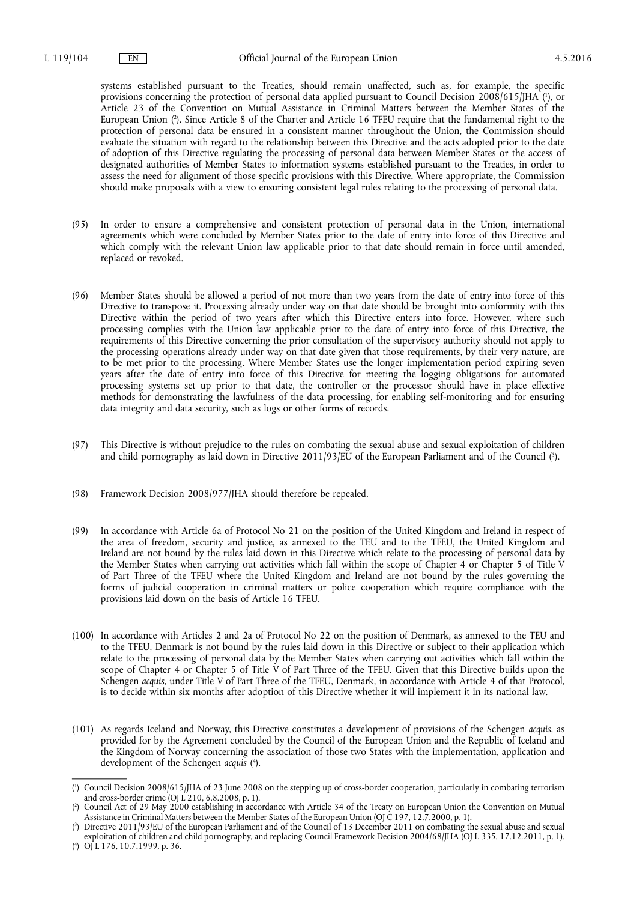systems established pursuant to the Treaties, should remain unaffected, such as, for example, the specific provisions concerning the protection of personal data applied pursuant to Council Decision 2008/615/JHA (<sup>1</sup>), or Article 23 of the Convention on Mutual Assistance in Criminal Matters between the Member States of the European Union ( 2 ). Since Article 8 of the Charter and Article 16 TFEU require that the fundamental right to the protection of personal data be ensured in a consistent manner throughout the Union, the Commission should evaluate the situation with regard to the relationship between this Directive and the acts adopted prior to the date of adoption of this Directive regulating the processing of personal data between Member States or the access of designated authorities of Member States to information systems established pursuant to the Treaties, in order to assess the need for alignment of those specific provisions with this Directive. Where appropriate, the Commission should make proposals with a view to ensuring consistent legal rules relating to the processing of personal data.

- (95) In order to ensure a comprehensive and consistent protection of personal data in the Union, international agreements which were concluded by Member States prior to the date of entry into force of this Directive and which comply with the relevant Union law applicable prior to that date should remain in force until amended, replaced or revoked.
- (96) Member States should be allowed a period of not more than two years from the date of entry into force of this Directive to transpose it. Processing already under way on that date should be brought into conformity with this Directive within the period of two years after which this Directive enters into force. However, where such processing complies with the Union law applicable prior to the date of entry into force of this Directive, the requirements of this Directive concerning the prior consultation of the supervisory authority should not apply to the processing operations already under way on that date given that those requirements, by their very nature, are to be met prior to the processing. Where Member States use the longer implementation period expiring seven years after the date of entry into force of this Directive for meeting the logging obligations for automated processing systems set up prior to that date, the controller or the processor should have in place effective methods for demonstrating the lawfulness of the data processing, for enabling self-monitoring and for ensuring data integrity and data security, such as logs or other forms of records.
- (97) This Directive is without prejudice to the rules on combating the sexual abuse and sexual exploitation of children and child pornography as laid down in Directive 2011/93/EU of the European Parliament and of the Council (').
- (98) Framework Decision 2008/977/JHA should therefore be repealed.
- (99) In accordance with Article 6a of Protocol No 21 on the position of the United Kingdom and Ireland in respect of the area of freedom, security and justice, as annexed to the TEU and to the TFEU, the United Kingdom and Ireland are not bound by the rules laid down in this Directive which relate to the processing of personal data by the Member States when carrying out activities which fall within the scope of Chapter 4 or Chapter 5 of Title V of Part Three of the TFEU where the United Kingdom and Ireland are not bound by the rules governing the forms of judicial cooperation in criminal matters or police cooperation which require compliance with the provisions laid down on the basis of Article 16 TFEU.
- (100) In accordance with Articles 2 and 2a of Protocol No 22 on the position of Denmark, as annexed to the TEU and to the TFEU, Denmark is not bound by the rules laid down in this Directive or subject to their application which relate to the processing of personal data by the Member States when carrying out activities which fall within the scope of Chapter 4 or Chapter 5 of Title V of Part Three of the TFEU. Given that this Directive builds upon the Schengen *acquis*, under Title V of Part Three of the TFEU, Denmark, in accordance with Article 4 of that Protocol, is to decide within six months after adoption of this Directive whether it will implement it in its national law.
- (101) As regards Iceland and Norway, this Directive constitutes a development of provisions of the Schengen *acquis*, as provided for by the Agreement concluded by the Council of the European Union and the Republic of Iceland and the Kingdom of Norway concerning the association of those two States with the implementation, application and development of the Schengen *acquis* ( 4 ).

<sup>(</sup> 1 ) Council Decision 2008/615/JHA of 23 June 2008 on the stepping up of cross-border cooperation, particularly in combating terrorism and cross-border crime (OJ L 210, 6.8.2008, p. 1).

<sup>(</sup> 2 ) Council Act of 29 May 2000 establishing in accordance with Article 34 of the Treaty on European Union the Convention on Mutual Assistance in Criminal Matters between the Member States of the European Union (OJ C 197, 12.7.2000, p. 1).

<sup>(</sup> 3 ) Directive 2011/93/EU of the European Parliament and of the Council of 13 December 2011 on combating the sexual abuse and sexual exploitation of children and child pornography, and replacing Council Framework Decision 2004/68/JHA (OJ L 335, 17.12.2011, p. 1).

<sup>(</sup> 4 ) OJ L 176, 10.7.1999, p. 36.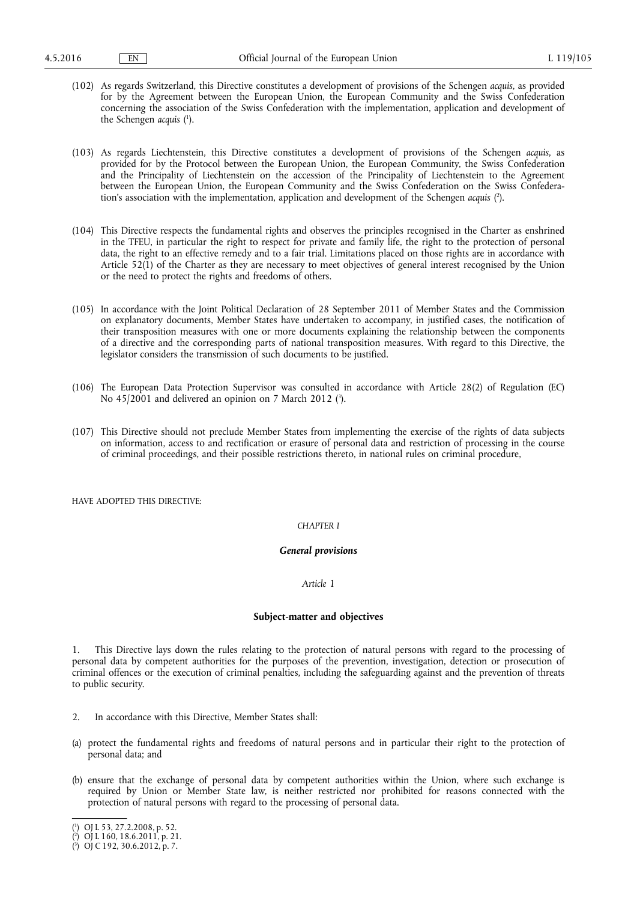- (102) As regards Switzerland, this Directive constitutes a development of provisions of the Schengen *acquis*, as provided for by the Agreement between the European Union, the European Community and the Swiss Confederation concerning the association of the Swiss Confederation with the implementation, application and development of the Schengen *acquis* ( 1 ).
- (103) As regards Liechtenstein, this Directive constitutes a development of provisions of the Schengen *acquis*, as provided for by the Protocol between the European Union, the European Community, the Swiss Confederation and the Principality of Liechtenstein on the accession of the Principality of Liechtenstein to the Agreement between the European Union, the European Community and the Swiss Confederation on the Swiss Confederation's association with the implementation, application and development of the Schengen *acquis* ( 2 ).
- (104) This Directive respects the fundamental rights and observes the principles recognised in the Charter as enshrined in the TFEU, in particular the right to respect for private and family life, the right to the protection of personal data, the right to an effective remedy and to a fair trial. Limitations placed on those rights are in accordance with Article 52(1) of the Charter as they are necessary to meet objectives of general interest recognised by the Union or the need to protect the rights and freedoms of others.
- (105) In accordance with the Joint Political Declaration of 28 September 2011 of Member States and the Commission on explanatory documents, Member States have undertaken to accompany, in justified cases, the notification of their transposition measures with one or more documents explaining the relationship between the components of a directive and the corresponding parts of national transposition measures. With regard to this Directive, the legislator considers the transmission of such documents to be justified.
- (106) The European Data Protection Supervisor was consulted in accordance with Article 28(2) of Regulation (EC) No 45/2001 and delivered an opinion on 7 March 2012 ( 3 ).
- (107) This Directive should not preclude Member States from implementing the exercise of the rights of data subjects on information, access to and rectification or erasure of personal data and restriction of processing in the course of criminal proceedings, and their possible restrictions thereto, in national rules on criminal procedure,

HAVE ADOPTED THIS DIRECTIVE:

### *CHAPTER I*

#### *General provisions*

# *Article 1*

# **Subject-matter and objectives**

1. This Directive lays down the rules relating to the protection of natural persons with regard to the processing of personal data by competent authorities for the purposes of the prevention, investigation, detection or prosecution of criminal offences or the execution of criminal penalties, including the safeguarding against and the prevention of threats to public security.

- 2. In accordance with this Directive, Member States shall:
- (a) protect the fundamental rights and freedoms of natural persons and in particular their right to the protection of personal data; and
- (b) ensure that the exchange of personal data by competent authorities within the Union, where such exchange is required by Union or Member State law, is neither restricted nor prohibited for reasons connected with the protection of natural persons with regard to the processing of personal data.

<sup>(</sup> 1 ) OJ L 53, 27.2.2008, p. 52.

<sup>(</sup> 2 ) OJ L 160, 18.6.2011, p. 21.

<sup>(</sup> 3 ) OJ C 192, 30.6.2012, p. 7.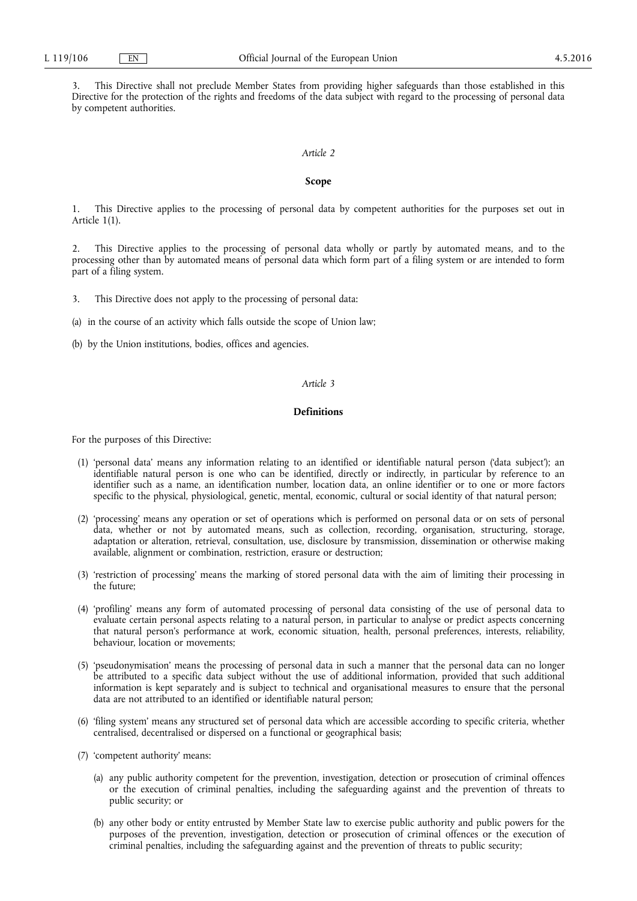3. This Directive shall not preclude Member States from providing higher safeguards than those established in this Directive for the protection of the rights and freedoms of the data subject with regard to the processing of personal data by competent authorities.

# *Article 2*

### **Scope**

1. This Directive applies to the processing of personal data by competent authorities for the purposes set out in Article 1(1).

2. This Directive applies to the processing of personal data wholly or partly by automated means, and to the processing other than by automated means of personal data which form part of a filing system or are intended to form part of a filing system.

3. This Directive does not apply to the processing of personal data:

(a) in the course of an activity which falls outside the scope of Union law;

(b) by the Union institutions, bodies, offices and agencies.

### *Article 3*

### **Definitions**

For the purposes of this Directive:

- (1) 'personal data' means any information relating to an identified or identifiable natural person ('data subject'); an identifiable natural person is one who can be identified, directly or indirectly, in particular by reference to an identifier such as a name, an identification number, location data, an online identifier or to one or more factors specific to the physical, physiological, genetic, mental, economic, cultural or social identity of that natural person;
- (2) 'processing' means any operation or set of operations which is performed on personal data or on sets of personal data, whether or not by automated means, such as collection, recording, organisation, structuring, storage, adaptation or alteration, retrieval, consultation, use, disclosure by transmission, dissemination or otherwise making available, alignment or combination, restriction, erasure or destruction;
- (3) 'restriction of processing' means the marking of stored personal data with the aim of limiting their processing in the future;
- (4) 'profiling' means any form of automated processing of personal data consisting of the use of personal data to evaluate certain personal aspects relating to a natural person, in particular to analyse or predict aspects concerning that natural person's performance at work, economic situation, health, personal preferences, interests, reliability, behaviour, location or movements;
- (5) 'pseudonymisation' means the processing of personal data in such a manner that the personal data can no longer be attributed to a specific data subject without the use of additional information, provided that such additional information is kept separately and is subject to technical and organisational measures to ensure that the personal data are not attributed to an identified or identifiable natural person;
- (6) 'filing system' means any structured set of personal data which are accessible according to specific criteria, whether centralised, decentralised or dispersed on a functional or geographical basis;
- (7) 'competent authority' means:
	- (a) any public authority competent for the prevention, investigation, detection or prosecution of criminal offences or the execution of criminal penalties, including the safeguarding against and the prevention of threats to public security; or
	- (b) any other body or entity entrusted by Member State law to exercise public authority and public powers for the purposes of the prevention, investigation, detection or prosecution of criminal offences or the execution of criminal penalties, including the safeguarding against and the prevention of threats to public security;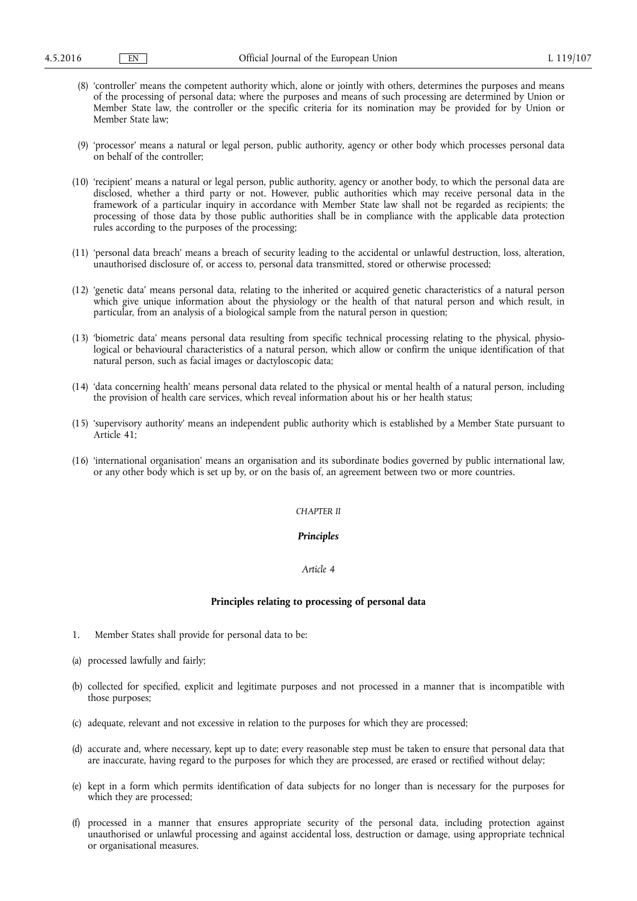- (8) 'controller' means the competent authority which, alone or jointly with others, determines the purposes and means of the processing of personal data; where the purposes and means of such processing are determined by Union or Member State law, the controller or the specific criteria for its nomination may be provided for by Union or Member State law;
- (9) 'processor' means a natural or legal person, public authority, agency or other body which processes personal data on behalf of the controller;
- (10) 'recipient' means a natural or legal person, public authority, agency or another body, to which the personal data are disclosed, whether a third party or not. However, public authorities which may receive personal data in the framework of a particular inquiry in accordance with Member State law shall not be regarded as recipients; the processing of those data by those public authorities shall be in compliance with the applicable data protection rules according to the purposes of the processing;
- (11) 'personal data breach' means a breach of security leading to the accidental or unlawful destruction, loss, alteration, unauthorised disclosure of, or access to, personal data transmitted, stored or otherwise processed;
- (12) 'genetic data' means personal data, relating to the inherited or acquired genetic characteristics of a natural person which give unique information about the physiology or the health of that natural person and which result, in particular, from an analysis of a biological sample from the natural person in question;
- (13) 'biometric data' means personal data resulting from specific technical processing relating to the physical, physiological or behavioural characteristics of a natural person, which allow or confirm the unique identification of that natural person, such as facial images or dactyloscopic data;
- (14) 'data concerning health' means personal data related to the physical or mental health of a natural person, including the provision of health care services, which reveal information about his or her health status;
- (15) 'supervisory authority' means an independent public authority which is established by a Member State pursuant to Article 41;
- (16) 'international organisation' means an organisation and its subordinate bodies governed by public international law, or any other body which is set up by, or on the basis of, an agreement between two or more countries.

# *CHAPTER II*

#### *Principles*

### *Article 4*

### **Principles relating to processing of personal data**

- 1. Member States shall provide for personal data to be:
- (a) processed lawfully and fairly;
- (b) collected for specified, explicit and legitimate purposes and not processed in a manner that is incompatible with those purposes;
- (c) adequate, relevant and not excessive in relation to the purposes for which they are processed;
- (d) accurate and, where necessary, kept up to date; every reasonable step must be taken to ensure that personal data that are inaccurate, having regard to the purposes for which they are processed, are erased or rectified without delay;
- (e) kept in a form which permits identification of data subjects for no longer than is necessary for the purposes for which they are processed;
- (f) processed in a manner that ensures appropriate security of the personal data, including protection against unauthorised or unlawful processing and against accidental loss, destruction or damage, using appropriate technical or organisational measures.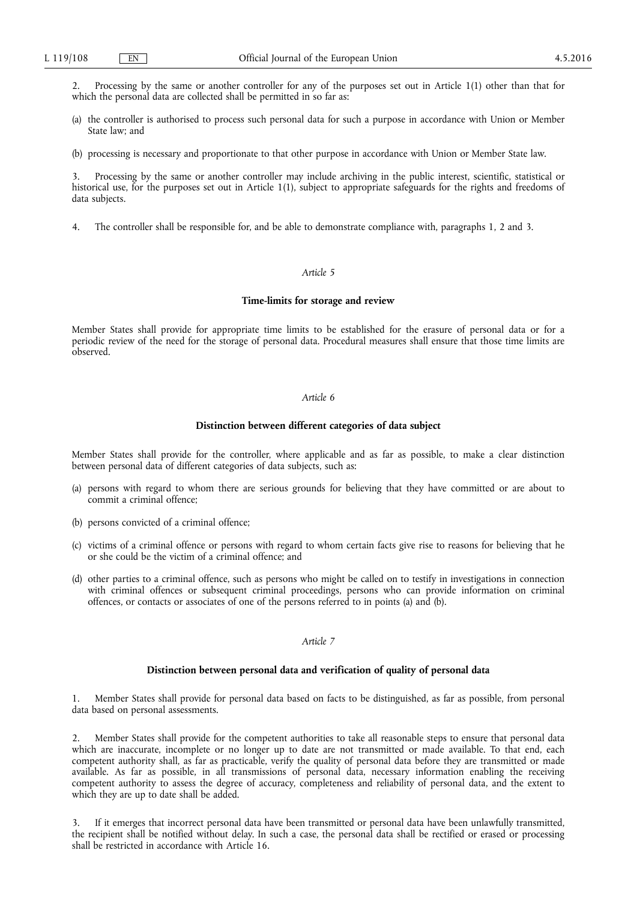2. Processing by the same or another controller for any of the purposes set out in Article 1(1) other than that for which the personal data are collected shall be permitted in so far as:

- (a) the controller is authorised to process such personal data for such a purpose in accordance with Union or Member State law; and
- (b) processing is necessary and proportionate to that other purpose in accordance with Union or Member State law.

3. Processing by the same or another controller may include archiving in the public interest, scientific, statistical or historical use, for the purposes set out in Article 1(1), subject to appropriate safeguards for the rights and freedoms of data subjects.

4. The controller shall be responsible for, and be able to demonstrate compliance with, paragraphs 1, 2 and 3.

#### *Article 5*

# **Time-limits for storage and review**

Member States shall provide for appropriate time limits to be established for the erasure of personal data or for a periodic review of the need for the storage of personal data. Procedural measures shall ensure that those time limits are observed.

#### *Article 6*

### **Distinction between different categories of data subject**

Member States shall provide for the controller, where applicable and as far as possible, to make a clear distinction between personal data of different categories of data subjects, such as:

- (a) persons with regard to whom there are serious grounds for believing that they have committed or are about to commit a criminal offence;
- (b) persons convicted of a criminal offence;
- (c) victims of a criminal offence or persons with regard to whom certain facts give rise to reasons for believing that he or she could be the victim of a criminal offence; and
- (d) other parties to a criminal offence, such as persons who might be called on to testify in investigations in connection with criminal offences or subsequent criminal proceedings, persons who can provide information on criminal offences, or contacts or associates of one of the persons referred to in points (a) and (b).

### *Article 7*

### **Distinction between personal data and verification of quality of personal data**

1. Member States shall provide for personal data based on facts to be distinguished, as far as possible, from personal data based on personal assessments.

2. Member States shall provide for the competent authorities to take all reasonable steps to ensure that personal data which are inaccurate, incomplete or no longer up to date are not transmitted or made available. To that end, each competent authority shall, as far as practicable, verify the quality of personal data before they are transmitted or made available. As far as possible, in all transmissions of personal data, necessary information enabling the receiving competent authority to assess the degree of accuracy, completeness and reliability of personal data, and the extent to which they are up to date shall be added.

3. If it emerges that incorrect personal data have been transmitted or personal data have been unlawfully transmitted, the recipient shall be notified without delay. In such a case, the personal data shall be rectified or erased or processing shall be restricted in accordance with Article 16.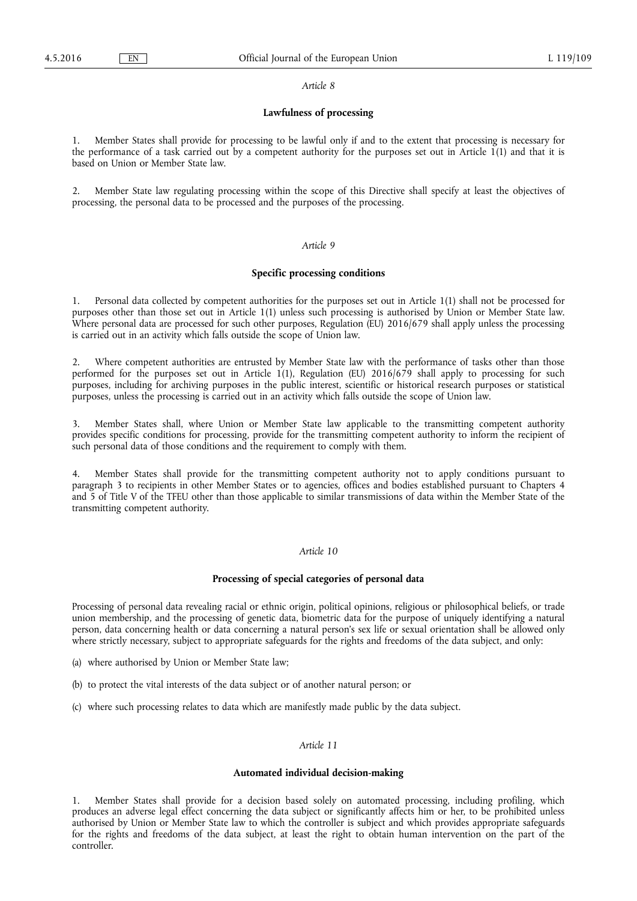#### *Article 8*

### **Lawfulness of processing**

1. Member States shall provide for processing to be lawful only if and to the extent that processing is necessary for the performance of a task carried out by a competent authority for the purposes set out in Article 1(1) and that it is based on Union or Member State law.

2. Member State law regulating processing within the scope of this Directive shall specify at least the objectives of processing, the personal data to be processed and the purposes of the processing.

### *Article 9*

### **Specific processing conditions**

1. Personal data collected by competent authorities for the purposes set out in Article 1(1) shall not be processed for purposes other than those set out in Article 1(1) unless such processing is authorised by Union or Member State law. Where personal data are processed for such other purposes, Regulation (EU) 2016/679 shall apply unless the processing is carried out in an activity which falls outside the scope of Union law.

2. Where competent authorities are entrusted by Member State law with the performance of tasks other than those performed for the purposes set out in Article 1(1), Regulation (EU) 2016/679 shall apply to processing for such purposes, including for archiving purposes in the public interest, scientific or historical research purposes or statistical purposes, unless the processing is carried out in an activity which falls outside the scope of Union law.

3. Member States shall, where Union or Member State law applicable to the transmitting competent authority provides specific conditions for processing, provide for the transmitting competent authority to inform the recipient of such personal data of those conditions and the requirement to comply with them.

4. Member States shall provide for the transmitting competent authority not to apply conditions pursuant to paragraph 3 to recipients in other Member States or to agencies, offices and bodies established pursuant to Chapters 4 and 5 of Title V of the TFEU other than those applicable to similar transmissions of data within the Member State of the transmitting competent authority.

#### *Article 10*

### **Processing of special categories of personal data**

Processing of personal data revealing racial or ethnic origin, political opinions, religious or philosophical beliefs, or trade union membership, and the processing of genetic data, biometric data for the purpose of uniquely identifying a natural person, data concerning health or data concerning a natural person's sex life or sexual orientation shall be allowed only where strictly necessary, subject to appropriate safeguards for the rights and freedoms of the data subject, and only:

- (a) where authorised by Union or Member State law;
- (b) to protect the vital interests of the data subject or of another natural person; or
- (c) where such processing relates to data which are manifestly made public by the data subject.

# *Article 11*

#### **Automated individual decision-making**

1. Member States shall provide for a decision based solely on automated processing, including profiling, which produces an adverse legal effect concerning the data subject or significantly affects him or her, to be prohibited unless authorised by Union or Member State law to which the controller is subject and which provides appropriate safeguards for the rights and freedoms of the data subject, at least the right to obtain human intervention on the part of the controller.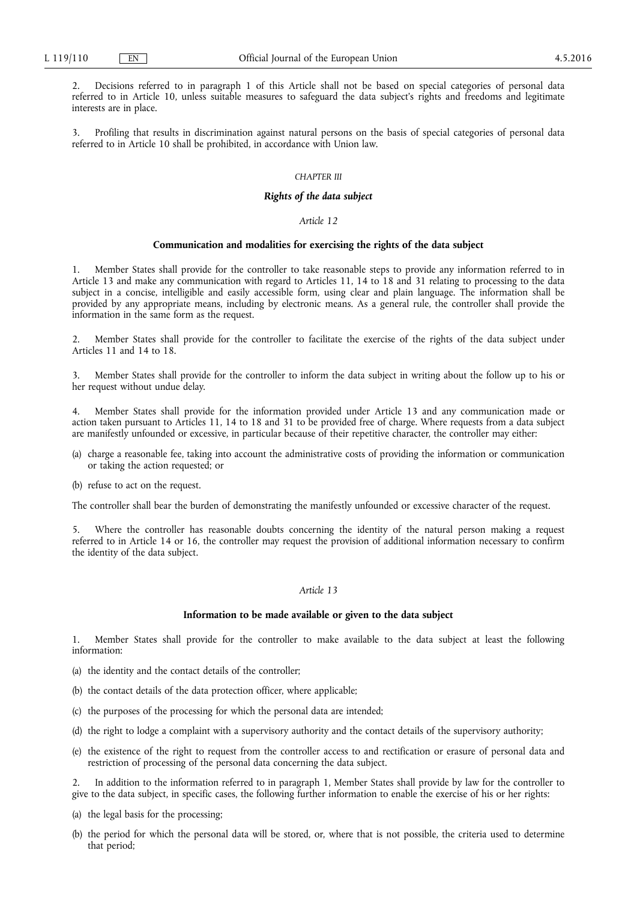2. Decisions referred to in paragraph 1 of this Article shall not be based on special categories of personal data referred to in Article 10, unless suitable measures to safeguard the data subject's rights and freedoms and legitimate interests are in place.

3. Profiling that results in discrimination against natural persons on the basis of special categories of personal data referred to in Article 10 shall be prohibited, in accordance with Union law.

#### *CHAPTER III*

# *Rights of the data subject*

### *Article 12*

#### **Communication and modalities for exercising the rights of the data subject**

1. Member States shall provide for the controller to take reasonable steps to provide any information referred to in Article 13 and make any communication with regard to Articles 11, 14 to 18 and 31 relating to processing to the data subject in a concise, intelligible and easily accessible form, using clear and plain language. The information shall be provided by any appropriate means, including by electronic means. As a general rule, the controller shall provide the information in the same form as the request.

2. Member States shall provide for the controller to facilitate the exercise of the rights of the data subject under Articles 11 and 14 to 18.

3. Member States shall provide for the controller to inform the data subject in writing about the follow up to his or her request without undue delay.

4. Member States shall provide for the information provided under Article 13 and any communication made or action taken pursuant to Articles 11, 14 to 18 and 31 to be provided free of charge. Where requests from a data subject are manifestly unfounded or excessive, in particular because of their repetitive character, the controller may either:

- (a) charge a reasonable fee, taking into account the administrative costs of providing the information or communication or taking the action requested; or
- (b) refuse to act on the request.

The controller shall bear the burden of demonstrating the manifestly unfounded or excessive character of the request.

5. Where the controller has reasonable doubts concerning the identity of the natural person making a request referred to in Article 14 or 16, the controller may request the provision of additional information necessary to confirm the identity of the data subject.

# *Article 13*

#### **Information to be made available or given to the data subject**

1. Member States shall provide for the controller to make available to the data subject at least the following information:

- (a) the identity and the contact details of the controller;
- (b) the contact details of the data protection officer, where applicable;
- (c) the purposes of the processing for which the personal data are intended;
- (d) the right to lodge a complaint with a supervisory authority and the contact details of the supervisory authority;
- (e) the existence of the right to request from the controller access to and rectification or erasure of personal data and restriction of processing of the personal data concerning the data subject.

2. In addition to the information referred to in paragraph 1, Member States shall provide by law for the controller to give to the data subject, in specific cases, the following further information to enable the exercise of his or her rights:

- (a) the legal basis for the processing;
- (b) the period for which the personal data will be stored, or, where that is not possible, the criteria used to determine that period;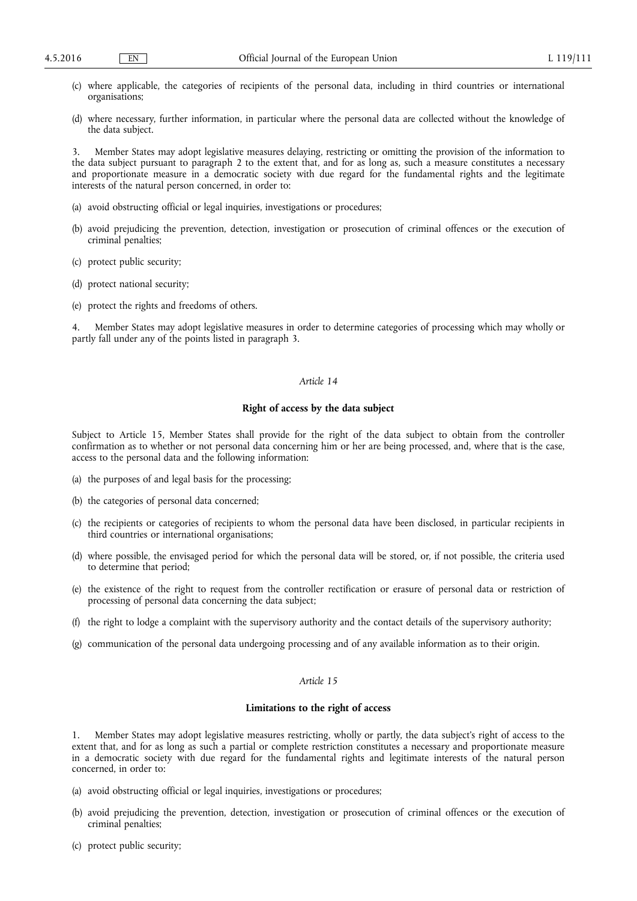- (c) where applicable, the categories of recipients of the personal data, including in third countries or international organisations;
- (d) where necessary, further information, in particular where the personal data are collected without the knowledge of the data subject.

3. Member States may adopt legislative measures delaying, restricting or omitting the provision of the information to the data subject pursuant to paragraph 2 to the extent that, and for as long as, such a measure constitutes a necessary and proportionate measure in a democratic society with due regard for the fundamental rights and the legitimate interests of the natural person concerned, in order to:

- (a) avoid obstructing official or legal inquiries, investigations or procedures;
- (b) avoid prejudicing the prevention, detection, investigation or prosecution of criminal offences or the execution of criminal penalties;
- (c) protect public security;
- (d) protect national security;
- (e) protect the rights and freedoms of others.

4. Member States may adopt legislative measures in order to determine categories of processing which may wholly or partly fall under any of the points listed in paragraph 3.

### *Article 14*

### **Right of access by the data subject**

Subject to Article 15, Member States shall provide for the right of the data subject to obtain from the controller confirmation as to whether or not personal data concerning him or her are being processed, and, where that is the case, access to the personal data and the following information:

- (a) the purposes of and legal basis for the processing;
- (b) the categories of personal data concerned;
- (c) the recipients or categories of recipients to whom the personal data have been disclosed, in particular recipients in third countries or international organisations;
- (d) where possible, the envisaged period for which the personal data will be stored, or, if not possible, the criteria used to determine that period;
- (e) the existence of the right to request from the controller rectification or erasure of personal data or restriction of processing of personal data concerning the data subject;
- (f) the right to lodge a complaint with the supervisory authority and the contact details of the supervisory authority;
- (g) communication of the personal data undergoing processing and of any available information as to their origin.

### *Article 15*

# **Limitations to the right of access**

1. Member States may adopt legislative measures restricting, wholly or partly, the data subject's right of access to the extent that, and for as long as such a partial or complete restriction constitutes a necessary and proportionate measure in a democratic society with due regard for the fundamental rights and legitimate interests of the natural person concerned, in order to:

- (a) avoid obstructing official or legal inquiries, investigations or procedures;
- (b) avoid prejudicing the prevention, detection, investigation or prosecution of criminal offences or the execution of criminal penalties;
- (c) protect public security;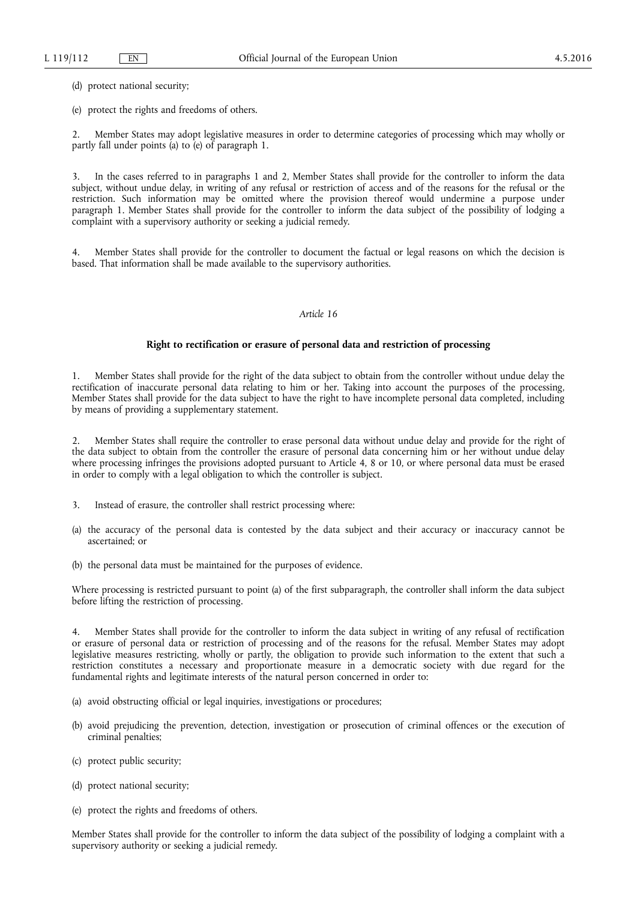(d) protect national security;

(e) protect the rights and freedoms of others.

2. Member States may adopt legislative measures in order to determine categories of processing which may wholly or partly fall under points (a) to (e) of paragraph 1.

3. In the cases referred to in paragraphs 1 and 2, Member States shall provide for the controller to inform the data subject, without undue delay, in writing of any refusal or restriction of access and of the reasons for the refusal or the restriction. Such information may be omitted where the provision thereof would undermine a purpose under paragraph 1. Member States shall provide for the controller to inform the data subject of the possibility of lodging a complaint with a supervisory authority or seeking a judicial remedy.

4. Member States shall provide for the controller to document the factual or legal reasons on which the decision is based. That information shall be made available to the supervisory authorities.

### *Article 16*

### **Right to rectification or erasure of personal data and restriction of processing**

Member States shall provide for the right of the data subject to obtain from the controller without undue delay the rectification of inaccurate personal data relating to him or her. Taking into account the purposes of the processing, Member States shall provide for the data subject to have the right to have incomplete personal data completed, including by means of providing a supplementary statement.

2. Member States shall require the controller to erase personal data without undue delay and provide for the right of the data subject to obtain from the controller the erasure of personal data concerning him or her without undue delay where processing infringes the provisions adopted pursuant to Article 4, 8 or 10, or where personal data must be erased in order to comply with a legal obligation to which the controller is subject.

- 3. Instead of erasure, the controller shall restrict processing where:
- (a) the accuracy of the personal data is contested by the data subject and their accuracy or inaccuracy cannot be ascertained; or
- (b) the personal data must be maintained for the purposes of evidence.

Where processing is restricted pursuant to point (a) of the first subparagraph, the controller shall inform the data subject before lifting the restriction of processing.

4. Member States shall provide for the controller to inform the data subject in writing of any refusal of rectification or erasure of personal data or restriction of processing and of the reasons for the refusal. Member States may adopt legislative measures restricting, wholly or partly, the obligation to provide such information to the extent that such a restriction constitutes a necessary and proportionate measure in a democratic society with due regard for the fundamental rights and legitimate interests of the natural person concerned in order to:

- (a) avoid obstructing official or legal inquiries, investigations or procedures;
- (b) avoid prejudicing the prevention, detection, investigation or prosecution of criminal offences or the execution of criminal penalties;
- (c) protect public security;
- (d) protect national security;
- (e) protect the rights and freedoms of others.

Member States shall provide for the controller to inform the data subject of the possibility of lodging a complaint with a supervisory authority or seeking a judicial remedy.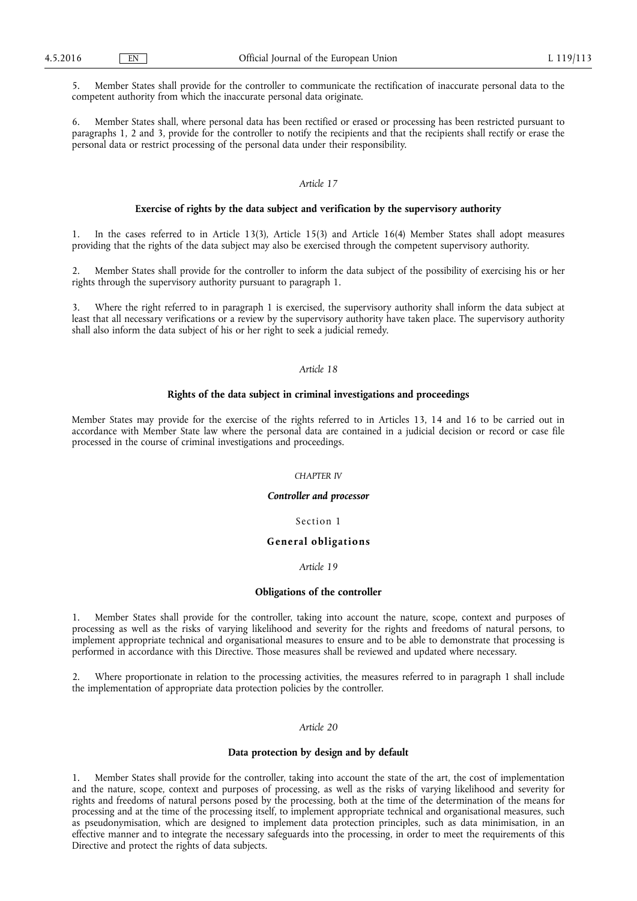5. Member States shall provide for the controller to communicate the rectification of inaccurate personal data to the competent authority from which the inaccurate personal data originate.

6. Member States shall, where personal data has been rectified or erased or processing has been restricted pursuant to paragraphs 1, 2 and 3, provide for the controller to notify the recipients and that the recipients shall rectify or erase the personal data or restrict processing of the personal data under their responsibility.

# *Article 17*

#### **Exercise of rights by the data subject and verification by the supervisory authority**

1. In the cases referred to in Article 13(3), Article 15(3) and Article 16(4) Member States shall adopt measures providing that the rights of the data subject may also be exercised through the competent supervisory authority.

2. Member States shall provide for the controller to inform the data subject of the possibility of exercising his or her rights through the supervisory authority pursuant to paragraph 1.

3. Where the right referred to in paragraph 1 is exercised, the supervisory authority shall inform the data subject at least that all necessary verifications or a review by the supervisory authority have taken place. The supervisory authority shall also inform the data subject of his or her right to seek a judicial remedy.

# *Article 18*

### **Rights of the data subject in criminal investigations and proceedings**

Member States may provide for the exercise of the rights referred to in Articles 13, 14 and 16 to be carried out in accordance with Member State law where the personal data are contained in a judicial decision or record or case file processed in the course of criminal investigations and proceedings.

# *CHAPTER IV*

# *Controller and processor*

# Section 1

# **General obligations**

### *Article 19*

# **Obligations of the controller**

1. Member States shall provide for the controller, taking into account the nature, scope, context and purposes of processing as well as the risks of varying likelihood and severity for the rights and freedoms of natural persons, to implement appropriate technical and organisational measures to ensure and to be able to demonstrate that processing is performed in accordance with this Directive. Those measures shall be reviewed and updated where necessary.

2. Where proportionate in relation to the processing activities, the measures referred to in paragraph 1 shall include the implementation of appropriate data protection policies by the controller.

# *Article 20*

### **Data protection by design and by default**

1. Member States shall provide for the controller, taking into account the state of the art, the cost of implementation and the nature, scope, context and purposes of processing, as well as the risks of varying likelihood and severity for rights and freedoms of natural persons posed by the processing, both at the time of the determination of the means for processing and at the time of the processing itself, to implement appropriate technical and organisational measures, such as pseudonymisation, which are designed to implement data protection principles, such as data minimisation, in an effective manner and to integrate the necessary safeguards into the processing, in order to meet the requirements of this Directive and protect the rights of data subjects.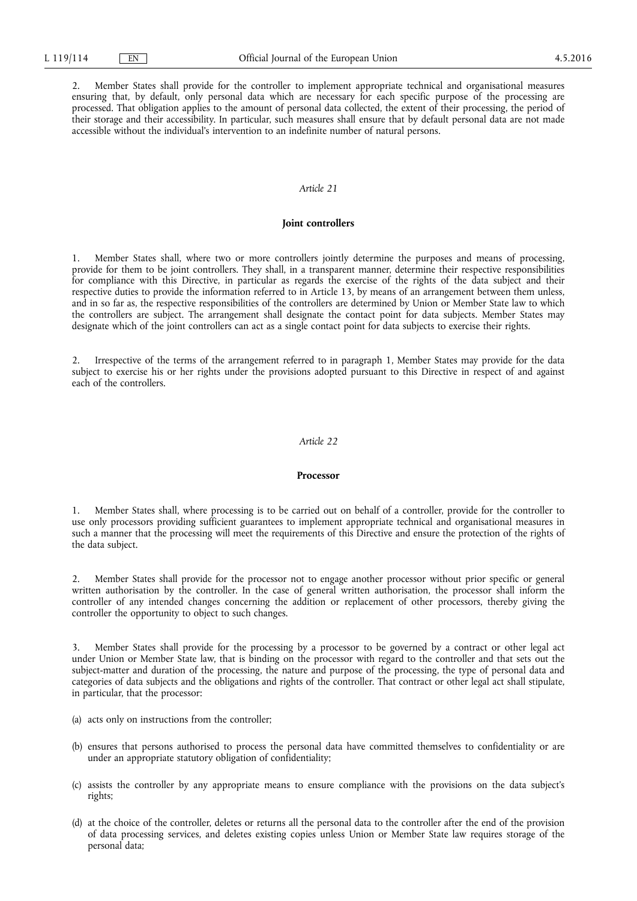2. Member States shall provide for the controller to implement appropriate technical and organisational measures ensuring that, by default, only personal data which are necessary for each specific purpose of the processing are processed. That obligation applies to the amount of personal data collected, the extent of their processing, the period of their storage and their accessibility. In particular, such measures shall ensure that by default personal data are not made accessible without the individual's intervention to an indefinite number of natural persons.

#### *Article 21*

#### **Joint controllers**

1. Member States shall, where two or more controllers jointly determine the purposes and means of processing, provide for them to be joint controllers. They shall, in a transparent manner, determine their respective responsibilities for compliance with this Directive, in particular as regards the exercise of the rights of the data subject and their respective duties to provide the information referred to in Article 13, by means of an arrangement between them unless, and in so far as, the respective responsibilities of the controllers are determined by Union or Member State law to which the controllers are subject. The arrangement shall designate the contact point for data subjects. Member States may designate which of the joint controllers can act as a single contact point for data subjects to exercise their rights.

2. Irrespective of the terms of the arrangement referred to in paragraph 1, Member States may provide for the data subject to exercise his or her rights under the provisions adopted pursuant to this Directive in respect of and against each of the controllers.

### *Article 22*

### **Processor**

1. Member States shall, where processing is to be carried out on behalf of a controller, provide for the controller to use only processors providing sufficient guarantees to implement appropriate technical and organisational measures in such a manner that the processing will meet the requirements of this Directive and ensure the protection of the rights of the data subject.

2. Member States shall provide for the processor not to engage another processor without prior specific or general written authorisation by the controller. In the case of general written authorisation, the processor shall inform the controller of any intended changes concerning the addition or replacement of other processors, thereby giving the controller the opportunity to object to such changes.

3. Member States shall provide for the processing by a processor to be governed by a contract or other legal act under Union or Member State law, that is binding on the processor with regard to the controller and that sets out the subject-matter and duration of the processing, the nature and purpose of the processing, the type of personal data and categories of data subjects and the obligations and rights of the controller. That contract or other legal act shall stipulate, in particular, that the processor:

- (a) acts only on instructions from the controller;
- (b) ensures that persons authorised to process the personal data have committed themselves to confidentiality or are under an appropriate statutory obligation of confidentiality;
- (c) assists the controller by any appropriate means to ensure compliance with the provisions on the data subject's rights;
- (d) at the choice of the controller, deletes or returns all the personal data to the controller after the end of the provision of data processing services, and deletes existing copies unless Union or Member State law requires storage of the personal data;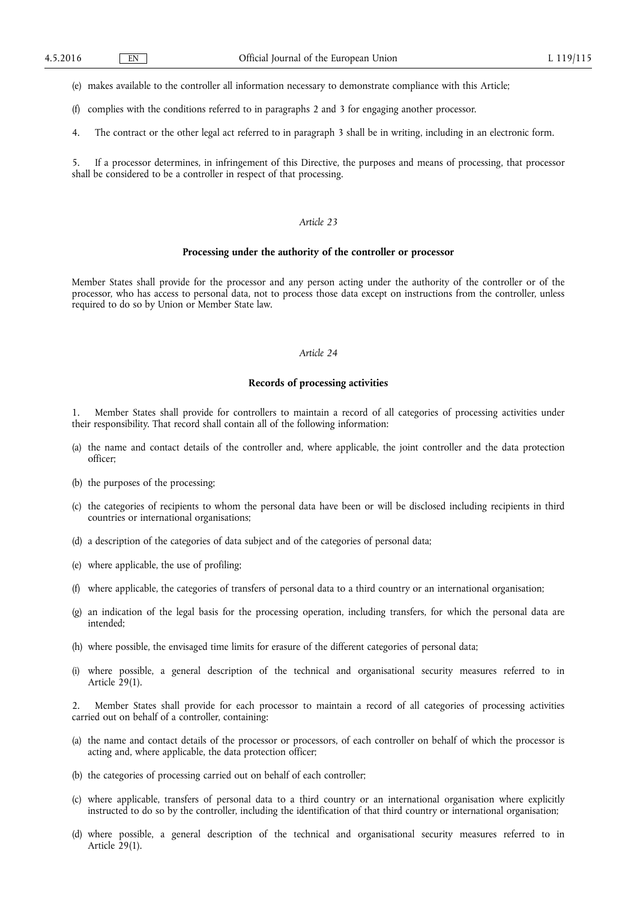(e) makes available to the controller all information necessary to demonstrate compliance with this Article;

(f) complies with the conditions referred to in paragraphs 2 and 3 for engaging another processor.

4. The contract or the other legal act referred to in paragraph 3 shall be in writing, including in an electronic form.

5. If a processor determines, in infringement of this Directive, the purposes and means of processing, that processor shall be considered to be a controller in respect of that processing.

#### *Article 23*

# **Processing under the authority of the controller or processor**

Member States shall provide for the processor and any person acting under the authority of the controller or of the processor, who has access to personal data, not to process those data except on instructions from the controller, unless required to do so by Union or Member State law.

### *Article 24*

# **Records of processing activities**

1. Member States shall provide for controllers to maintain a record of all categories of processing activities under their responsibility. That record shall contain all of the following information:

- (a) the name and contact details of the controller and, where applicable, the joint controller and the data protection officer;
- (b) the purposes of the processing;
- (c) the categories of recipients to whom the personal data have been or will be disclosed including recipients in third countries or international organisations;
- (d) a description of the categories of data subject and of the categories of personal data;
- (e) where applicable, the use of profiling;
- (f) where applicable, the categories of transfers of personal data to a third country or an international organisation;
- (g) an indication of the legal basis for the processing operation, including transfers, for which the personal data are intended;
- (h) where possible, the envisaged time limits for erasure of the different categories of personal data;
- (i) where possible, a general description of the technical and organisational security measures referred to in Article 29(1).

2. Member States shall provide for each processor to maintain a record of all categories of processing activities carried out on behalf of a controller, containing:

- (a) the name and contact details of the processor or processors, of each controller on behalf of which the processor is acting and, where applicable, the data protection officer;
- (b) the categories of processing carried out on behalf of each controller;
- (c) where applicable, transfers of personal data to a third country or an international organisation where explicitly instructed to do so by the controller, including the identification of that third country or international organisation;
- (d) where possible, a general description of the technical and organisational security measures referred to in Article 29(1).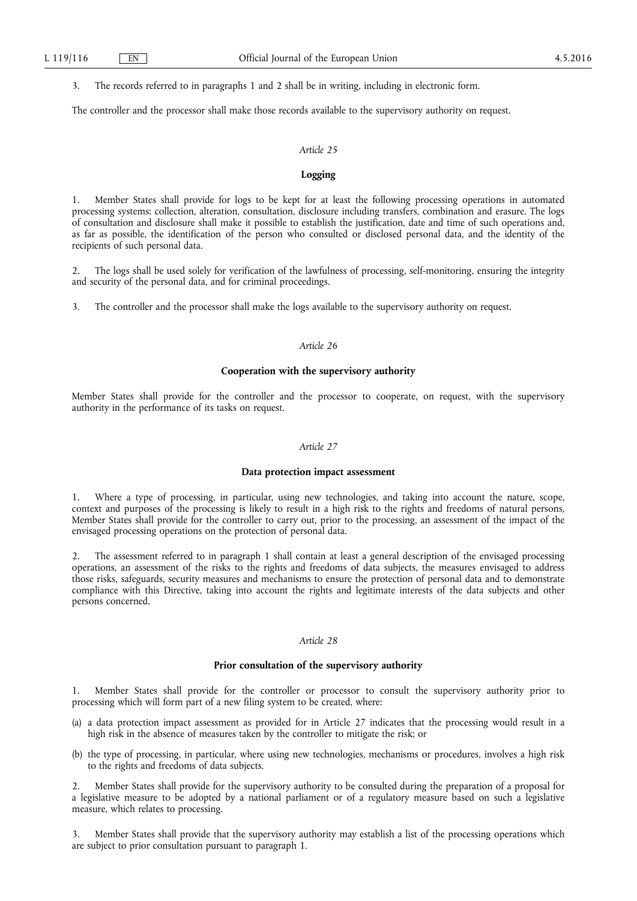3. The records referred to in paragraphs 1 and 2 shall be in writing, including in electronic form.

The controller and the processor shall make those records available to the supervisory authority on request.

# *Article 25*

# **Logging**

1. Member States shall provide for logs to be kept for at least the following processing operations in automated processing systems: collection, alteration, consultation, disclosure including transfers, combination and erasure. The logs of consultation and disclosure shall make it possible to establish the justification, date and time of such operations and, as far as possible, the identification of the person who consulted or disclosed personal data, and the identity of the recipients of such personal data.

2. The logs shall be used solely for verification of the lawfulness of processing, self-monitoring, ensuring the integrity and security of the personal data, and for criminal proceedings.

3. The controller and the processor shall make the logs available to the supervisory authority on request.

### *Article 26*

#### **Cooperation with the supervisory authority**

Member States shall provide for the controller and the processor to cooperate, on request, with the supervisory authority in the performance of its tasks on request.

#### *Article 27*

#### **Data protection impact assessment**

1. Where a type of processing, in particular, using new technologies, and taking into account the nature, scope, context and purposes of the processing is likely to result in a high risk to the rights and freedoms of natural persons, Member States shall provide for the controller to carry out, prior to the processing, an assessment of the impact of the envisaged processing operations on the protection of personal data.

2. The assessment referred to in paragraph 1 shall contain at least a general description of the envisaged processing operations, an assessment of the risks to the rights and freedoms of data subjects, the measures envisaged to address those risks, safeguards, security measures and mechanisms to ensure the protection of personal data and to demonstrate compliance with this Directive, taking into account the rights and legitimate interests of the data subjects and other persons concerned.

### *Article 28*

#### **Prior consultation of the supervisory authority**

1. Member States shall provide for the controller or processor to consult the supervisory authority prior to processing which will form part of a new filing system to be created, where:

- (a) a data protection impact assessment as provided for in Article 27 indicates that the processing would result in a high risk in the absence of measures taken by the controller to mitigate the risk; or
- (b) the type of processing, in particular, where using new technologies, mechanisms or procedures, involves a high risk to the rights and freedoms of data subjects.

2. Member States shall provide for the supervisory authority to be consulted during the preparation of a proposal for a legislative measure to be adopted by a national parliament or of a regulatory measure based on such a legislative measure, which relates to processing.

Member States shall provide that the supervisory authority may establish a list of the processing operations which are subject to prior consultation pursuant to paragraph 1.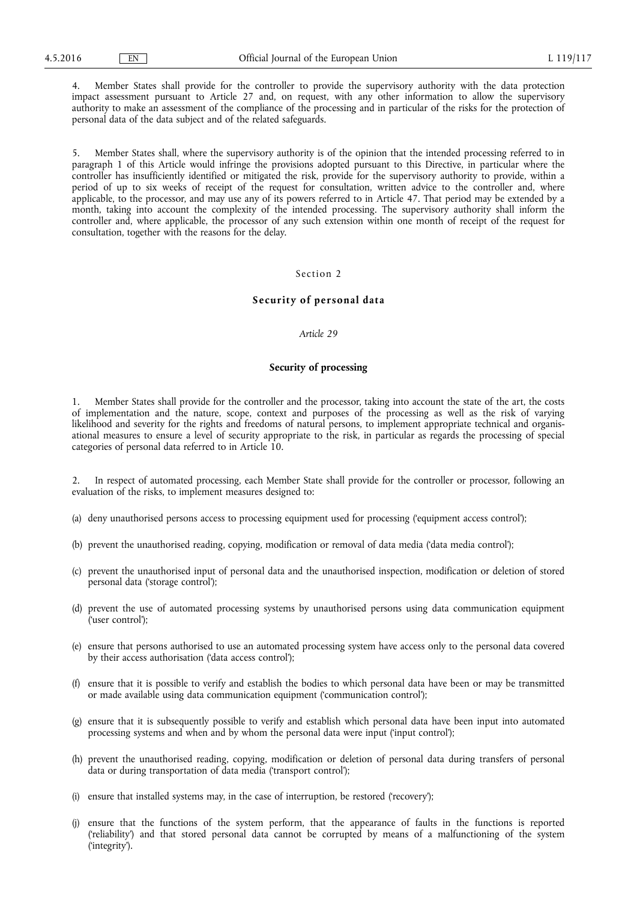4. Member States shall provide for the controller to provide the supervisory authority with the data protection impact assessment pursuant to Article 27 and, on request, with any other information to allow the supervisory authority to make an assessment of the compliance of the processing and in particular of the risks for the protection of personal data of the data subject and of the related safeguards.

5. Member States shall, where the supervisory authority is of the opinion that the intended processing referred to in paragraph 1 of this Article would infringe the provisions adopted pursuant to this Directive, in particular where the controller has insufficiently identified or mitigated the risk, provide for the supervisory authority to provide, within a period of up to six weeks of receipt of the request for consultation, written advice to the controller and, where applicable, to the processor, and may use any of its powers referred to in Article 47. That period may be extended by a month, taking into account the complexity of the intended processing. The supervisory authority shall inform the controller and, where applicable, the processor of any such extension within one month of receipt of the request for consultation, together with the reasons for the delay.

### Section 2

### **Security of personal data**

### *Article 29*

### **Security of processing**

Member States shall provide for the controller and the processor, taking into account the state of the art, the costs of implementation and the nature, scope, context and purposes of the processing as well as the risk of varying likelihood and severity for the rights and freedoms of natural persons, to implement appropriate technical and organisational measures to ensure a level of security appropriate to the risk, in particular as regards the processing of special categories of personal data referred to in Article 10.

2. In respect of automated processing, each Member State shall provide for the controller or processor, following an evaluation of the risks, to implement measures designed to:

- (a) deny unauthorised persons access to processing equipment used for processing ('equipment access control');
- (b) prevent the unauthorised reading, copying, modification or removal of data media ('data media control');
- (c) prevent the unauthorised input of personal data and the unauthorised inspection, modification or deletion of stored personal data ('storage control');
- (d) prevent the use of automated processing systems by unauthorised persons using data communication equipment ('user control');
- (e) ensure that persons authorised to use an automated processing system have access only to the personal data covered by their access authorisation ('data access control');
- (f) ensure that it is possible to verify and establish the bodies to which personal data have been or may be transmitted or made available using data communication equipment ('communication control');
- (g) ensure that it is subsequently possible to verify and establish which personal data have been input into automated processing systems and when and by whom the personal data were input ('input control');
- (h) prevent the unauthorised reading, copying, modification or deletion of personal data during transfers of personal data or during transportation of data media ('transport control');
- (i) ensure that installed systems may, in the case of interruption, be restored ('recovery');
- (j) ensure that the functions of the system perform, that the appearance of faults in the functions is reported ('reliability') and that stored personal data cannot be corrupted by means of a malfunctioning of the system ('integrity').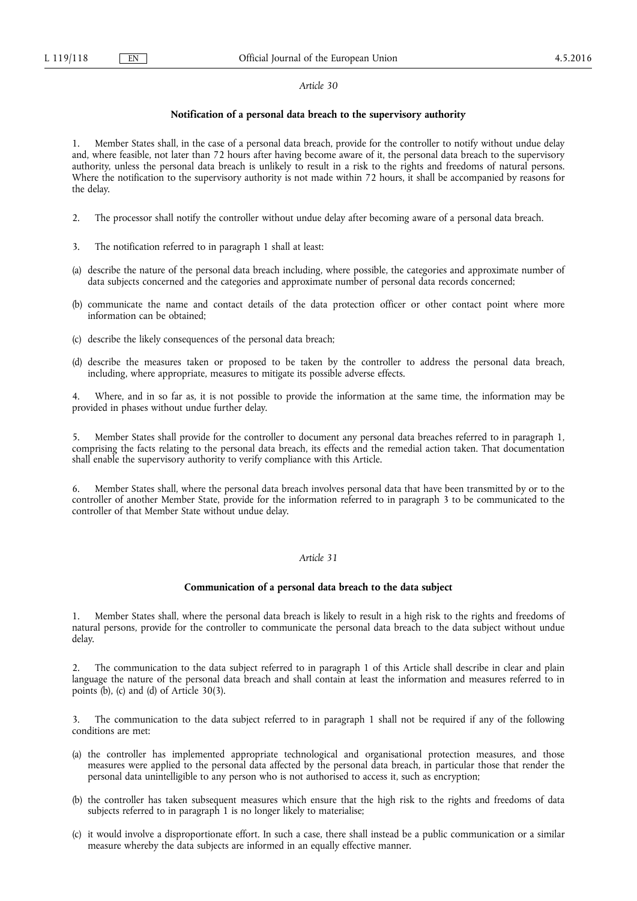#### *Article 30*

#### **Notification of a personal data breach to the supervisory authority**

Member States shall, in the case of a personal data breach, provide for the controller to notify without undue delay and, where feasible, not later than 72 hours after having become aware of it, the personal data breach to the supervisory authority, unless the personal data breach is unlikely to result in a risk to the rights and freedoms of natural persons. Where the notification to the supervisory authority is not made within 72 hours, it shall be accompanied by reasons for the delay.

- 2. The processor shall notify the controller without undue delay after becoming aware of a personal data breach.
- 3. The notification referred to in paragraph 1 shall at least:
- (a) describe the nature of the personal data breach including, where possible, the categories and approximate number of data subjects concerned and the categories and approximate number of personal data records concerned;
- (b) communicate the name and contact details of the data protection officer or other contact point where more information can be obtained;
- (c) describe the likely consequences of the personal data breach;
- (d) describe the measures taken or proposed to be taken by the controller to address the personal data breach, including, where appropriate, measures to mitigate its possible adverse effects.

4. Where, and in so far as, it is not possible to provide the information at the same time, the information may be provided in phases without undue further delay.

5. Member States shall provide for the controller to document any personal data breaches referred to in paragraph 1, comprising the facts relating to the personal data breach, its effects and the remedial action taken. That documentation shall enable the supervisory authority to verify compliance with this Article.

6. Member States shall, where the personal data breach involves personal data that have been transmitted by or to the controller of another Member State, provide for the information referred to in paragraph 3 to be communicated to the controller of that Member State without undue delay.

### *Article 31*

#### **Communication of a personal data breach to the data subject**

Member States shall, where the personal data breach is likely to result in a high risk to the rights and freedoms of natural persons, provide for the controller to communicate the personal data breach to the data subject without undue delay.

2. The communication to the data subject referred to in paragraph 1 of this Article shall describe in clear and plain language the nature of the personal data breach and shall contain at least the information and measures referred to in points (b), (c) and (d) of Article 30(3).

The communication to the data subject referred to in paragraph 1 shall not be required if any of the following conditions are met:

- (a) the controller has implemented appropriate technological and organisational protection measures, and those measures were applied to the personal data affected by the personal data breach, in particular those that render the personal data unintelligible to any person who is not authorised to access it, such as encryption;
- (b) the controller has taken subsequent measures which ensure that the high risk to the rights and freedoms of data subjects referred to in paragraph 1 is no longer likely to materialise;
- (c) it would involve a disproportionate effort. In such a case, there shall instead be a public communication or a similar measure whereby the data subjects are informed in an equally effective manner.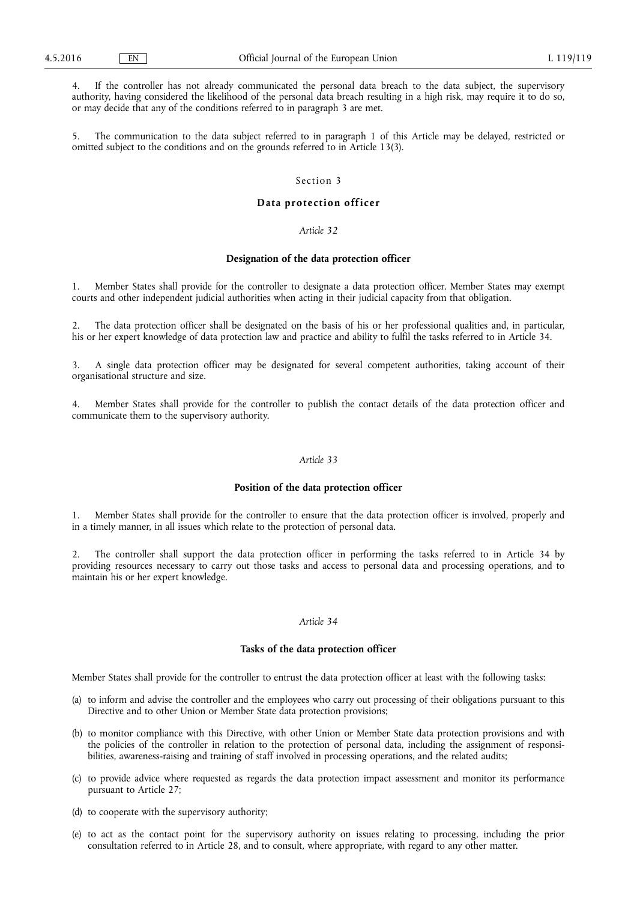4. If the controller has not already communicated the personal data breach to the data subject, the supervisory authority, having considered the likelihood of the personal data breach resulting in a high risk, may require it to do so, or may decide that any of the conditions referred to in paragraph 3 are met.

The communication to the data subject referred to in paragraph 1 of this Article may be delayed, restricted or omitted subject to the conditions and on the grounds referred to in Article 13(3).

# Section 3

### **Data protection officer**

# *Article 32*

### **Designation of the data protection officer**

1. Member States shall provide for the controller to designate a data protection officer. Member States may exempt courts and other independent judicial authorities when acting in their judicial capacity from that obligation.

2. The data protection officer shall be designated on the basis of his or her professional qualities and, in particular, his or her expert knowledge of data protection law and practice and ability to fulfil the tasks referred to in Article 34.

3. A single data protection officer may be designated for several competent authorities, taking account of their organisational structure and size.

4. Member States shall provide for the controller to publish the contact details of the data protection officer and communicate them to the supervisory authority.

### *Article 33*

### **Position of the data protection officer**

1. Member States shall provide for the controller to ensure that the data protection officer is involved, properly and in a timely manner, in all issues which relate to the protection of personal data.

2. The controller shall support the data protection officer in performing the tasks referred to in Article 34 by providing resources necessary to carry out those tasks and access to personal data and processing operations, and to maintain his or her expert knowledge.

### *Article 34*

# **Tasks of the data protection officer**

Member States shall provide for the controller to entrust the data protection officer at least with the following tasks:

- (a) to inform and advise the controller and the employees who carry out processing of their obligations pursuant to this Directive and to other Union or Member State data protection provisions;
- (b) to monitor compliance with this Directive, with other Union or Member State data protection provisions and with the policies of the controller in relation to the protection of personal data, including the assignment of responsibilities, awareness-raising and training of staff involved in processing operations, and the related audits;
- (c) to provide advice where requested as regards the data protection impact assessment and monitor its performance pursuant to Article 27;
- (d) to cooperate with the supervisory authority;
- (e) to act as the contact point for the supervisory authority on issues relating to processing, including the prior consultation referred to in Article 28, and to consult, where appropriate, with regard to any other matter.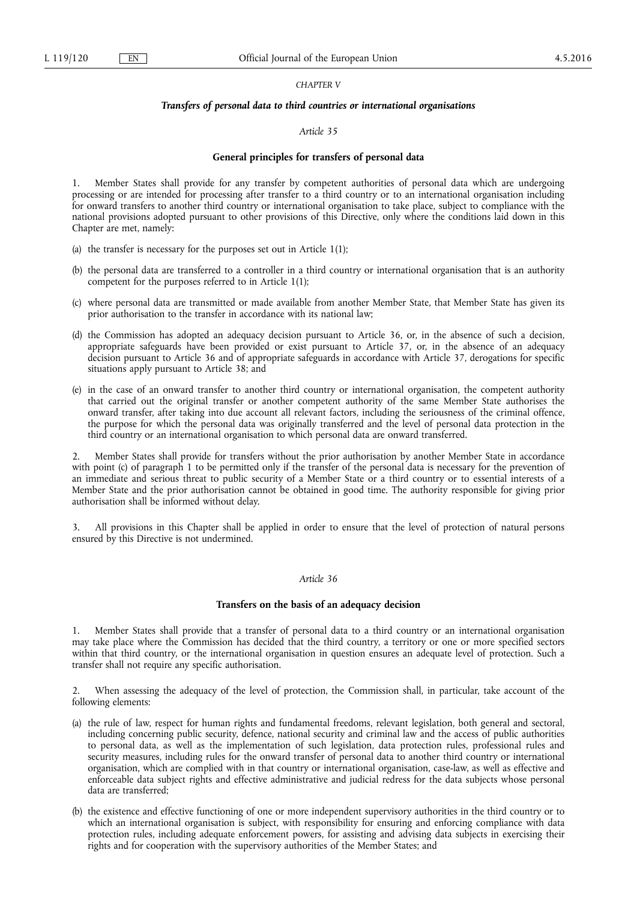### *CHAPTER V*

#### *Transfers of personal data to third countries or international organisations*

#### *Article 35*

# **General principles for transfers of personal data**

1. Member States shall provide for any transfer by competent authorities of personal data which are undergoing processing or are intended for processing after transfer to a third country or to an international organisation including for onward transfers to another third country or international organisation to take place, subject to compliance with the national provisions adopted pursuant to other provisions of this Directive, only where the conditions laid down in this Chapter are met, namely:

- (a) the transfer is necessary for the purposes set out in Article 1(1);
- (b) the personal data are transferred to a controller in a third country or international organisation that is an authority competent for the purposes referred to in Article 1(1);
- (c) where personal data are transmitted or made available from another Member State, that Member State has given its prior authorisation to the transfer in accordance with its national law;
- (d) the Commission has adopted an adequacy decision pursuant to Article 36, or, in the absence of such a decision, appropriate safeguards have been provided or exist pursuant to Article 37, or, in the absence of an adequacy decision pursuant to Article 36 and of appropriate safeguards in accordance with Article 37, derogations for specific situations apply pursuant to Article 38; and
- (e) in the case of an onward transfer to another third country or international organisation, the competent authority that carried out the original transfer or another competent authority of the same Member State authorises the onward transfer, after taking into due account all relevant factors, including the seriousness of the criminal offence, the purpose for which the personal data was originally transferred and the level of personal data protection in the third country or an international organisation to which personal data are onward transferred.

2. Member States shall provide for transfers without the prior authorisation by another Member State in accordance with point (c) of paragraph 1 to be permitted only if the transfer of the personal data is necessary for the prevention of an immediate and serious threat to public security of a Member State or a third country or to essential interests of a Member State and the prior authorisation cannot be obtained in good time. The authority responsible for giving prior authorisation shall be informed without delay.

3. All provisions in this Chapter shall be applied in order to ensure that the level of protection of natural persons ensured by this Directive is not undermined.

### *Article 36*

#### **Transfers on the basis of an adequacy decision**

1. Member States shall provide that a transfer of personal data to a third country or an international organisation may take place where the Commission has decided that the third country, a territory or one or more specified sectors within that third country, or the international organisation in question ensures an adequate level of protection. Such a transfer shall not require any specific authorisation.

2. When assessing the adequacy of the level of protection, the Commission shall, in particular, take account of the following elements:

- (a) the rule of law, respect for human rights and fundamental freedoms, relevant legislation, both general and sectoral, including concerning public security, defence, national security and criminal law and the access of public authorities to personal data, as well as the implementation of such legislation, data protection rules, professional rules and security measures, including rules for the onward transfer of personal data to another third country or international organisation, which are complied with in that country or international organisation, case-law, as well as effective and enforceable data subject rights and effective administrative and judicial redress for the data subjects whose personal data are transferred;
- (b) the existence and effective functioning of one or more independent supervisory authorities in the third country or to which an international organisation is subject, with responsibility for ensuring and enforcing compliance with data protection rules, including adequate enforcement powers, for assisting and advising data subjects in exercising their rights and for cooperation with the supervisory authorities of the Member States; and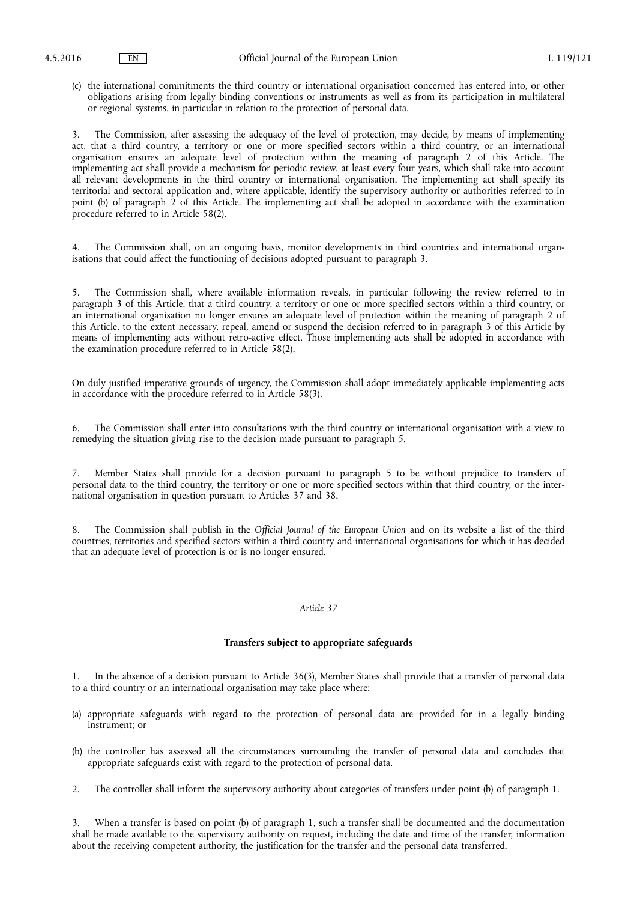(c) the international commitments the third country or international organisation concerned has entered into, or other obligations arising from legally binding conventions or instruments as well as from its participation in multilateral or regional systems, in particular in relation to the protection of personal data.

3. The Commission, after assessing the adequacy of the level of protection, may decide, by means of implementing act, that a third country, a territory or one or more specified sectors within a third country, or an international organisation ensures an adequate level of protection within the meaning of paragraph 2 of this Article. The implementing act shall provide a mechanism for periodic review, at least every four years, which shall take into account all relevant developments in the third country or international organisation. The implementing act shall specify its territorial and sectoral application and, where applicable, identify the supervisory authority or authorities referred to in point (b) of paragraph 2 of this Article. The implementing act shall be adopted in accordance with the examination procedure referred to in Article 58(2).

4. The Commission shall, on an ongoing basis, monitor developments in third countries and international organisations that could affect the functioning of decisions adopted pursuant to paragraph 3.

5. The Commission shall, where available information reveals, in particular following the review referred to in paragraph 3 of this Article, that a third country, a territory or one or more specified sectors within a third country, or an international organisation no longer ensures an adequate level of protection within the meaning of paragraph 2 of this Article, to the extent necessary, repeal, amend or suspend the decision referred to in paragraph 3 of this Article by means of implementing acts without retro-active effect. Those implementing acts shall be adopted in accordance with the examination procedure referred to in Article 58(2).

On duly justified imperative grounds of urgency, the Commission shall adopt immediately applicable implementing acts in accordance with the procedure referred to in Article 58(3).

6. The Commission shall enter into consultations with the third country or international organisation with a view to remedying the situation giving rise to the decision made pursuant to paragraph 5.

Member States shall provide for a decision pursuant to paragraph 5 to be without prejudice to transfers of personal data to the third country, the territory or one or more specified sectors within that third country, or the international organisation in question pursuant to Articles 37 and 38.

8. The Commission shall publish in the *Official Journal of the European Union* and on its website a list of the third countries, territories and specified sectors within a third country and international organisations for which it has decided that an adequate level of protection is or is no longer ensured.

### *Article 37*

# **Transfers subject to appropriate safeguards**

1. In the absence of a decision pursuant to Article 36(3), Member States shall provide that a transfer of personal data to a third country or an international organisation may take place where:

- (a) appropriate safeguards with regard to the protection of personal data are provided for in a legally binding instrument; or
- (b) the controller has assessed all the circumstances surrounding the transfer of personal data and concludes that appropriate safeguards exist with regard to the protection of personal data.
- 2. The controller shall inform the supervisory authority about categories of transfers under point (b) of paragraph 1.

3. When a transfer is based on point (b) of paragraph 1, such a transfer shall be documented and the documentation shall be made available to the supervisory authority on request, including the date and time of the transfer, information about the receiving competent authority, the justification for the transfer and the personal data transferred.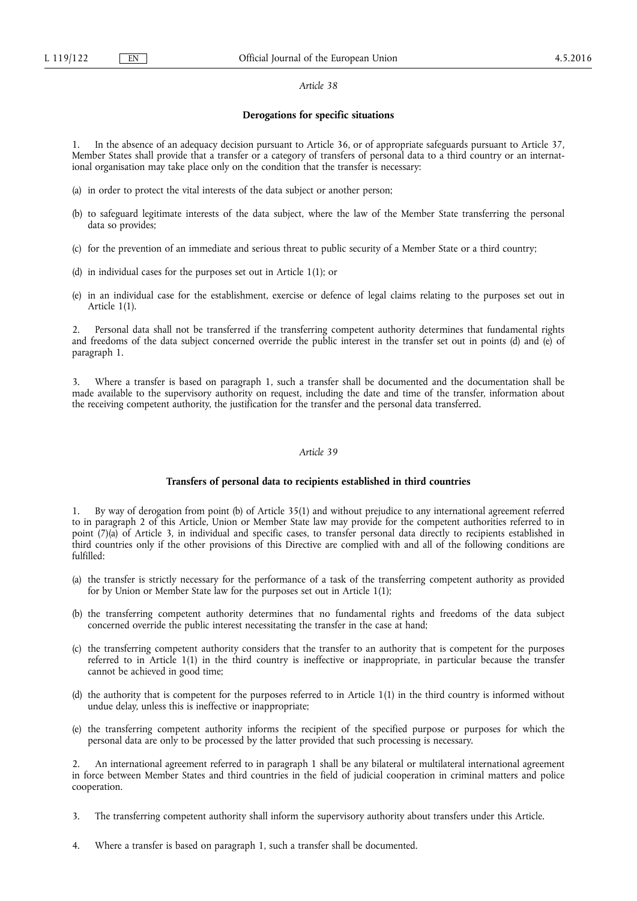#### *Article 38*

#### **Derogations for specific situations**

1. In the absence of an adequacy decision pursuant to Article 36, or of appropriate safeguards pursuant to Article 37, Member States shall provide that a transfer or a category of transfers of personal data to a third country or an international organisation may take place only on the condition that the transfer is necessary:

- (a) in order to protect the vital interests of the data subject or another person;
- (b) to safeguard legitimate interests of the data subject, where the law of the Member State transferring the personal data so provides;
- (c) for the prevention of an immediate and serious threat to public security of a Member State or a third country;
- (d) in individual cases for the purposes set out in Article 1(1); or
- (e) in an individual case for the establishment, exercise or defence of legal claims relating to the purposes set out in Article 1(1).

2. Personal data shall not be transferred if the transferring competent authority determines that fundamental rights and freedoms of the data subject concerned override the public interest in the transfer set out in points (d) and (e) of paragraph 1.

Where a transfer is based on paragraph 1, such a transfer shall be documented and the documentation shall be made available to the supervisory authority on request, including the date and time of the transfer, information about the receiving competent authority, the justification for the transfer and the personal data transferred.

# *Article 39*

### **Transfers of personal data to recipients established in third countries**

1. By way of derogation from point (b) of Article 35(1) and without prejudice to any international agreement referred to in paragraph 2 of this Article, Union or Member State law may provide for the competent authorities referred to in point  $(7)(a)$  of Article 3, in individual and specific cases, to transfer personal data directly to recipients established in third countries only if the other provisions of this Directive are complied with and all of the following conditions are fulfilled:

- (a) the transfer is strictly necessary for the performance of a task of the transferring competent authority as provided for by Union or Member State law for the purposes set out in Article 1(1);
- (b) the transferring competent authority determines that no fundamental rights and freedoms of the data subject concerned override the public interest necessitating the transfer in the case at hand;
- (c) the transferring competent authority considers that the transfer to an authority that is competent for the purposes referred to in Article 1(1) in the third country is ineffective or inappropriate, in particular because the transfer cannot be achieved in good time;
- (d) the authority that is competent for the purposes referred to in Article 1(1) in the third country is informed without undue delay, unless this is ineffective or inappropriate;
- (e) the transferring competent authority informs the recipient of the specified purpose or purposes for which the personal data are only to be processed by the latter provided that such processing is necessary.

2. An international agreement referred to in paragraph 1 shall be any bilateral or multilateral international agreement in force between Member States and third countries in the field of judicial cooperation in criminal matters and police cooperation.

- 3. The transferring competent authority shall inform the supervisory authority about transfers under this Article.
- 4. Where a transfer is based on paragraph 1, such a transfer shall be documented.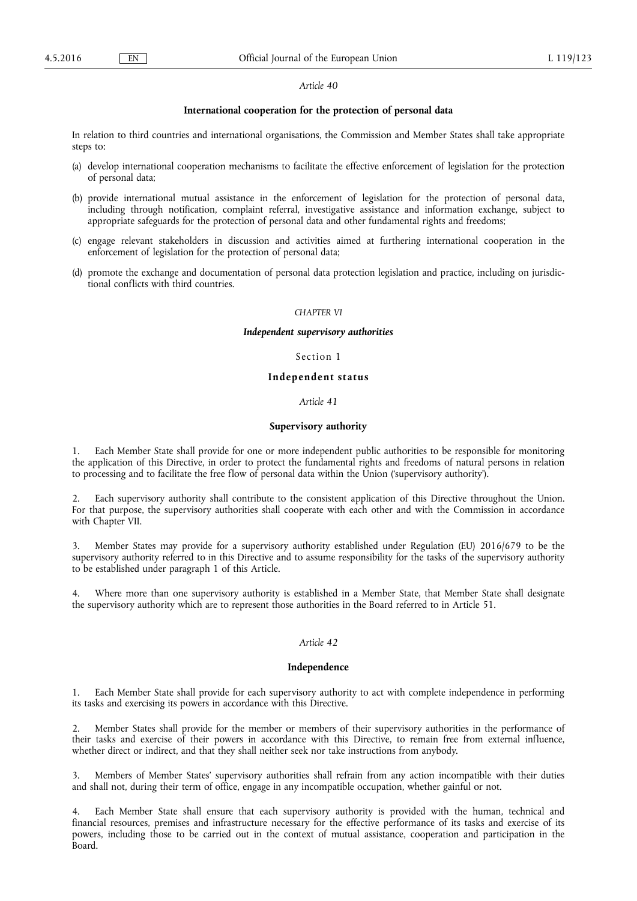#### *Article 40*

### **International cooperation for the protection of personal data**

In relation to third countries and international organisations, the Commission and Member States shall take appropriate steps to:

- (a) develop international cooperation mechanisms to facilitate the effective enforcement of legislation for the protection of personal data;
- (b) provide international mutual assistance in the enforcement of legislation for the protection of personal data, including through notification, complaint referral, investigative assistance and information exchange, subject to appropriate safeguards for the protection of personal data and other fundamental rights and freedoms;
- (c) engage relevant stakeholders in discussion and activities aimed at furthering international cooperation in the enforcement of legislation for the protection of personal data;
- promote the exchange and documentation of personal data protection legislation and practice, including on jurisdictional conflicts with third countries.

### *CHAPTER VI*

### *Independent supervisory authorities*

### Section 1

### Independent status

#### *Article 41*

# **Supervisory authority**

1. Each Member State shall provide for one or more independent public authorities to be responsible for monitoring the application of this Directive, in order to protect the fundamental rights and freedoms of natural persons in relation to processing and to facilitate the free flow of personal data within the Union ('supervisory authority').

2. Each supervisory authority shall contribute to the consistent application of this Directive throughout the Union. For that purpose, the supervisory authorities shall cooperate with each other and with the Commission in accordance with Chapter VII.

3. Member States may provide for a supervisory authority established under Regulation (EU) 2016/679 to be the supervisory authority referred to in this Directive and to assume responsibility for the tasks of the supervisory authority to be established under paragraph 1 of this Article.

Where more than one supervisory authority is established in a Member State, that Member State shall designate the supervisory authority which are to represent those authorities in the Board referred to in Article 51.

# *Article 42*

### **Independence**

1. Each Member State shall provide for each supervisory authority to act with complete independence in performing its tasks and exercising its powers in accordance with this Directive.

2. Member States shall provide for the member or members of their supervisory authorities in the performance of their tasks and exercise of their powers in accordance with this Directive, to remain free from external influence, whether direct or indirect, and that they shall neither seek nor take instructions from anybody.

3. Members of Member States' supervisory authorities shall refrain from any action incompatible with their duties and shall not, during their term of office, engage in any incompatible occupation, whether gainful or not.

4. Each Member State shall ensure that each supervisory authority is provided with the human, technical and financial resources, premises and infrastructure necessary for the effective performance of its tasks and exercise of its powers, including those to be carried out in the context of mutual assistance, cooperation and participation in the Board.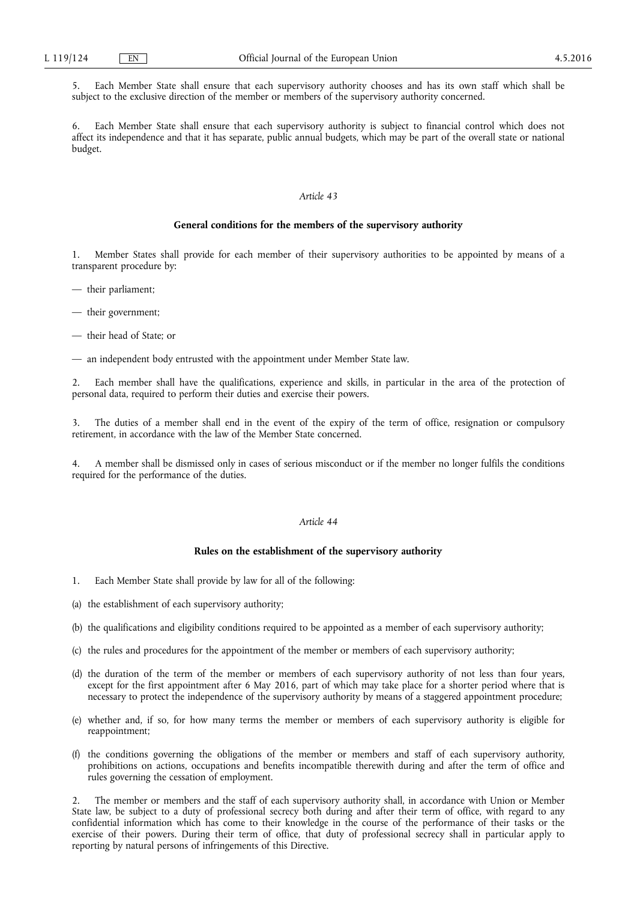5. Each Member State shall ensure that each supervisory authority chooses and has its own staff which shall be subject to the exclusive direction of the member or members of the supervisory authority concerned.

6. Each Member State shall ensure that each supervisory authority is subject to financial control which does not affect its independence and that it has separate, public annual budgets, which may be part of the overall state or national budget.

# *Article 43*

### **General conditions for the members of the supervisory authority**

1. Member States shall provide for each member of their supervisory authorities to be appointed by means of a transparent procedure by:

- their parliament;
- their government;
- their head of State; or
- an independent body entrusted with the appointment under Member State law.

2. Each member shall have the qualifications, experience and skills, in particular in the area of the protection of personal data, required to perform their duties and exercise their powers.

3. The duties of a member shall end in the event of the expiry of the term of office, resignation or compulsory retirement, in accordance with the law of the Member State concerned.

4. A member shall be dismissed only in cases of serious misconduct or if the member no longer fulfils the conditions required for the performance of the duties.

### *Article 44*

### **Rules on the establishment of the supervisory authority**

- 1. Each Member State shall provide by law for all of the following:
- (a) the establishment of each supervisory authority;
- (b) the qualifications and eligibility conditions required to be appointed as a member of each supervisory authority;
- (c) the rules and procedures for the appointment of the member or members of each supervisory authority;
- (d) the duration of the term of the member or members of each supervisory authority of not less than four years, except for the first appointment after 6 May 2016, part of which may take place for a shorter period where that is necessary to protect the independence of the supervisory authority by means of a staggered appointment procedure;
- (e) whether and, if so, for how many terms the member or members of each supervisory authority is eligible for reappointment;
- (f) the conditions governing the obligations of the member or members and staff of each supervisory authority, prohibitions on actions, occupations and benefits incompatible therewith during and after the term of office and rules governing the cessation of employment.

2. The member or members and the staff of each supervisory authority shall, in accordance with Union or Member State law, be subject to a duty of professional secrecy both during and after their term of office, with regard to any confidential information which has come to their knowledge in the course of the performance of their tasks or the exercise of their powers. During their term of office, that duty of professional secrecy shall in particular apply to reporting by natural persons of infringements of this Directive.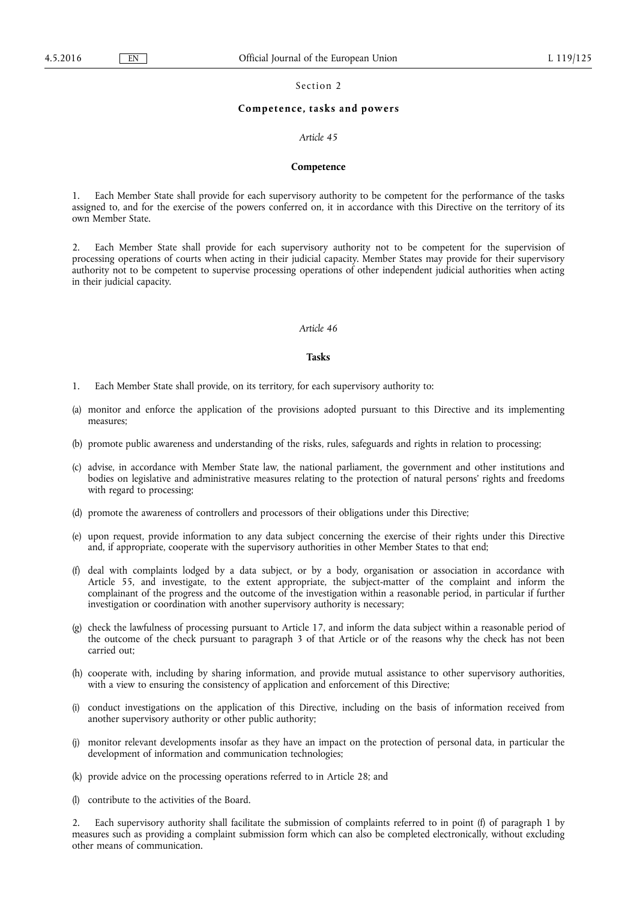Section 2

### **Competence, t asks and p owers**

#### *Article 45*

#### **Competence**

1. Each Member State shall provide for each supervisory authority to be competent for the performance of the tasks assigned to, and for the exercise of the powers conferred on, it in accordance with this Directive on the territory of its own Member State.

2. Each Member State shall provide for each supervisory authority not to be competent for the supervision of processing operations of courts when acting in their judicial capacity. Member States may provide for their supervisory authority not to be competent to supervise processing operations of other independent judicial authorities when acting in their judicial capacity.

### *Article 46*

### **Tasks**

- 1. Each Member State shall provide, on its territory, for each supervisory authority to:
- (a) monitor and enforce the application of the provisions adopted pursuant to this Directive and its implementing measures;
- (b) promote public awareness and understanding of the risks, rules, safeguards and rights in relation to processing;
- (c) advise, in accordance with Member State law, the national parliament, the government and other institutions and bodies on legislative and administrative measures relating to the protection of natural persons' rights and freedoms with regard to processing;
- (d) promote the awareness of controllers and processors of their obligations under this Directive;
- (e) upon request, provide information to any data subject concerning the exercise of their rights under this Directive and, if appropriate, cooperate with the supervisory authorities in other Member States to that end;
- (f) deal with complaints lodged by a data subject, or by a body, organisation or association in accordance with Article 55, and investigate, to the extent appropriate, the subject-matter of the complaint and inform the complainant of the progress and the outcome of the investigation within a reasonable period, in particular if further investigation or coordination with another supervisory authority is necessary;
- (g) check the lawfulness of processing pursuant to Article 17, and inform the data subject within a reasonable period of the outcome of the check pursuant to paragraph 3 of that Article or of the reasons why the check has not been carried out;
- (h) cooperate with, including by sharing information, and provide mutual assistance to other supervisory authorities, with a view to ensuring the consistency of application and enforcement of this Directive;
- (i) conduct investigations on the application of this Directive, including on the basis of information received from another supervisory authority or other public authority;
- (j) monitor relevant developments insofar as they have an impact on the protection of personal data, in particular the development of information and communication technologies;
- (k) provide advice on the processing operations referred to in Article 28; and
- (l) contribute to the activities of the Board.

2. Each supervisory authority shall facilitate the submission of complaints referred to in point (f) of paragraph 1 by measures such as providing a complaint submission form which can also be completed electronically, without excluding other means of communication.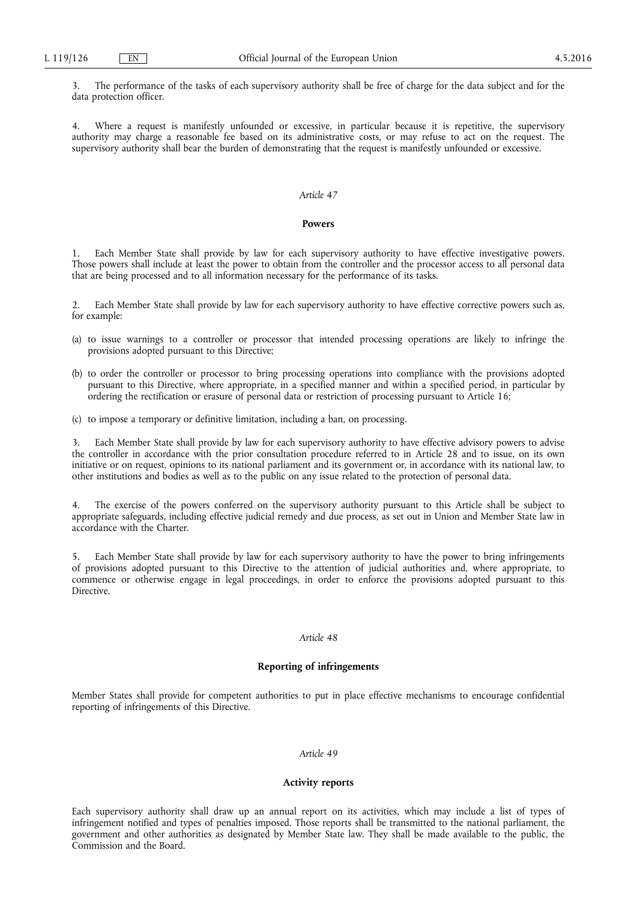3. The performance of the tasks of each supervisory authority shall be free of charge for the data subject and for the data protection officer.

4. Where a request is manifestly unfounded or excessive, in particular because it is repetitive, the supervisory authority may charge a reasonable fee based on its administrative costs, or may refuse to act on the request. The supervisory authority shall bear the burden of demonstrating that the request is manifestly unfounded or excessive.

# *Article 47*

#### **Powers**

1. Each Member State shall provide by law for each supervisory authority to have effective investigative powers. Those powers shall include at least the power to obtain from the controller and the processor access to all personal data that are being processed and to all information necessary for the performance of its tasks.

2. Each Member State shall provide by law for each supervisory authority to have effective corrective powers such as, for example:

- (a) to issue warnings to a controller or processor that intended processing operations are likely to infringe the provisions adopted pursuant to this Directive;
- (b) to order the controller or processor to bring processing operations into compliance with the provisions adopted pursuant to this Directive, where appropriate, in a specified manner and within a specified period, in particular by ordering the rectification or erasure of personal data or restriction of processing pursuant to Article 16;
- (c) to impose a temporary or definitive limitation, including a ban, on processing.

3. Each Member State shall provide by law for each supervisory authority to have effective advisory powers to advise the controller in accordance with the prior consultation procedure referred to in Article 28 and to issue, on its own initiative or on request, opinions to its national parliament and its government or, in accordance with its national law, to other institutions and bodies as well as to the public on any issue related to the protection of personal data.

4. The exercise of the powers conferred on the supervisory authority pursuant to this Article shall be subject to appropriate safeguards, including effective judicial remedy and due process, as set out in Union and Member State law in accordance with the Charter.

5. Each Member State shall provide by law for each supervisory authority to have the power to bring infringements of provisions adopted pursuant to this Directive to the attention of judicial authorities and, where appropriate, to commence or otherwise engage in legal proceedings, in order to enforce the provisions adopted pursuant to this Directive.

# *Article 48*

### **Reporting of infringements**

Member States shall provide for competent authorities to put in place effective mechanisms to encourage confidential reporting of infringements of this Directive.

# *Article 49*

#### **Activity reports**

Each supervisory authority shall draw up an annual report on its activities, which may include a list of types of infringement notified and types of penalties imposed. Those reports shall be transmitted to the national parliament, the government and other authorities as designated by Member State law. They shall be made available to the public, the Commission and the Board.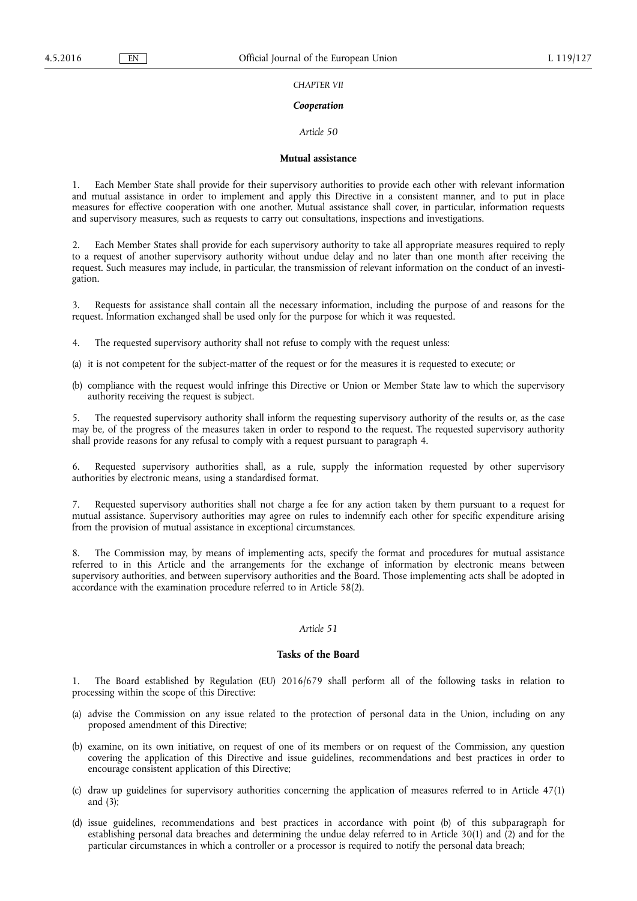*CHAPTER VII* 

### *Cooperation*

### *Article 50*

#### **Mutual assistance**

1. Each Member State shall provide for their supervisory authorities to provide each other with relevant information and mutual assistance in order to implement and apply this Directive in a consistent manner, and to put in place measures for effective cooperation with one another. Mutual assistance shall cover, in particular, information requests and supervisory measures, such as requests to carry out consultations, inspections and investigations.

2. Each Member States shall provide for each supervisory authority to take all appropriate measures required to reply to a request of another supervisory authority without undue delay and no later than one month after receiving the request. Such measures may include, in particular, the transmission of relevant information on the conduct of an investigation.

Requests for assistance shall contain all the necessary information, including the purpose of and reasons for the request. Information exchanged shall be used only for the purpose for which it was requested.

- 4. The requested supervisory authority shall not refuse to comply with the request unless:
- (a) it is not competent for the subject-matter of the request or for the measures it is requested to execute; or
- (b) compliance with the request would infringe this Directive or Union or Member State law to which the supervisory authority receiving the request is subject.

5. The requested supervisory authority shall inform the requesting supervisory authority of the results or, as the case may be, of the progress of the measures taken in order to respond to the request. The requested supervisory authority shall provide reasons for any refusal to comply with a request pursuant to paragraph 4.

6. Requested supervisory authorities shall, as a rule, supply the information requested by other supervisory authorities by electronic means, using a standardised format.

7. Requested supervisory authorities shall not charge a fee for any action taken by them pursuant to a request for mutual assistance. Supervisory authorities may agree on rules to indemnify each other for specific expenditure arising from the provision of mutual assistance in exceptional circumstances.

8. The Commission may, by means of implementing acts, specify the format and procedures for mutual assistance referred to in this Article and the arrangements for the exchange of information by electronic means between supervisory authorities, and between supervisory authorities and the Board. Those implementing acts shall be adopted in accordance with the examination procedure referred to in Article 58(2).

### *Article 51*

### **Tasks of the Board**

1. The Board established by Regulation (EU) 2016/679 shall perform all of the following tasks in relation to processing within the scope of this Directive:

- (a) advise the Commission on any issue related to the protection of personal data in the Union, including on any proposed amendment of this Directive;
- (b) examine, on its own initiative, on request of one of its members or on request of the Commission, any question covering the application of this Directive and issue guidelines, recommendations and best practices in order to encourage consistent application of this Directive;
- (c) draw up guidelines for supervisory authorities concerning the application of measures referred to in Article 47(1) and  $(3)$ ;
- (d) issue guidelines, recommendations and best practices in accordance with point (b) of this subparagraph for establishing personal data breaches and determining the undue delay referred to in Article 30(1) and (2) and for the particular circumstances in which a controller or a processor is required to notify the personal data breach;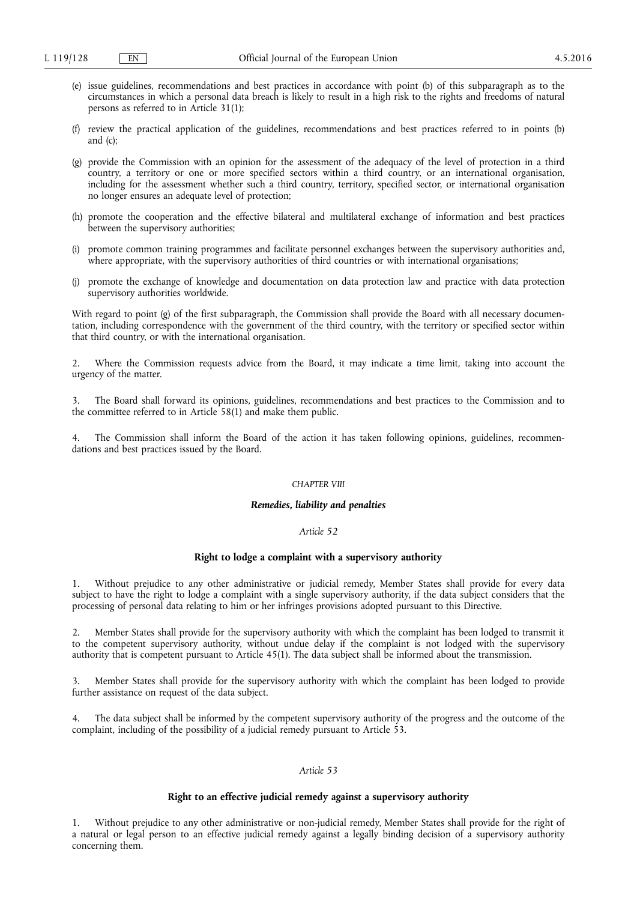- (e) issue guidelines, recommendations and best practices in accordance with point (b) of this subparagraph as to the circumstances in which a personal data breach is likely to result in a high risk to the rights and freedoms of natural persons as referred to in Article 31(1);
- (f) review the practical application of the guidelines, recommendations and best practices referred to in points (b) and (c);
- (g) provide the Commission with an opinion for the assessment of the adequacy of the level of protection in a third country, a territory or one or more specified sectors within a third country, or an international organisation, including for the assessment whether such a third country, territory, specified sector, or international organisation no longer ensures an adequate level of protection;
- (h) promote the cooperation and the effective bilateral and multilateral exchange of information and best practices between the supervisory authorities;
- (i) promote common training programmes and facilitate personnel exchanges between the supervisory authorities and, where appropriate, with the supervisory authorities of third countries or with international organisations;
- (j) promote the exchange of knowledge and documentation on data protection law and practice with data protection supervisory authorities worldwide.

With regard to point (g) of the first subparagraph, the Commission shall provide the Board with all necessary documentation, including correspondence with the government of the third country, with the territory or specified sector within that third country, or with the international organisation.

2. Where the Commission requests advice from the Board, it may indicate a time limit, taking into account the urgency of the matter.

3. The Board shall forward its opinions, guidelines, recommendations and best practices to the Commission and to the committee referred to in Article 58(1) and make them public.

4. The Commission shall inform the Board of the action it has taken following opinions, guidelines, recommendations and best practices issued by the Board.

### *CHAPTER VIII*

### *Remedies, liability and penalties*

### *Article 52*

### **Right to lodge a complaint with a supervisory authority**

1. Without prejudice to any other administrative or judicial remedy, Member States shall provide for every data subject to have the right to lodge a complaint with a single supervisory authority, if the data subject considers that the processing of personal data relating to him or her infringes provisions adopted pursuant to this Directive.

2. Member States shall provide for the supervisory authority with which the complaint has been lodged to transmit it to the competent supervisory authority, without undue delay if the complaint is not lodged with the supervisory authority that is competent pursuant to Article 45(1). The data subject shall be informed about the transmission.

3. Member States shall provide for the supervisory authority with which the complaint has been lodged to provide further assistance on request of the data subject.

The data subject shall be informed by the competent supervisory authority of the progress and the outcome of the complaint, including of the possibility of a judicial remedy pursuant to Article 53.

### *Article 53*

### **Right to an effective judicial remedy against a supervisory authority**

1. Without prejudice to any other administrative or non-judicial remedy, Member States shall provide for the right of a natural or legal person to an effective judicial remedy against a legally binding decision of a supervisory authority concerning them.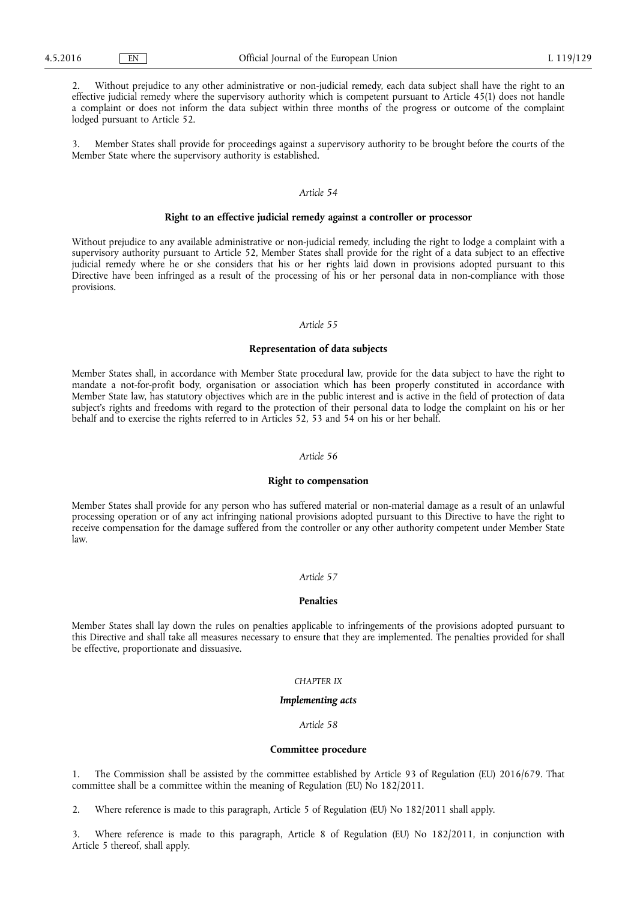2. Without prejudice to any other administrative or non-judicial remedy, each data subject shall have the right to an effective judicial remedy where the supervisory authority which is competent pursuant to Article 45(1) does not handle a complaint or does not inform the data subject within three months of the progress or outcome of the complaint lodged pursuant to Article 52.

3. Member States shall provide for proceedings against a supervisory authority to be brought before the courts of the Member State where the supervisory authority is established.

# *Article 54*

#### **Right to an effective judicial remedy against a controller or processor**

Without prejudice to any available administrative or non-judicial remedy, including the right to lodge a complaint with a supervisory authority pursuant to Article 52, Member States shall provide for the right of a data subject to an effective judicial remedy where he or she considers that his or her rights laid down in provisions adopted pursuant to this Directive have been infringed as a result of the processing of his or her personal data in non-compliance with those provisions.

### *Article 55*

### **Representation of data subjects**

Member States shall, in accordance with Member State procedural law, provide for the data subject to have the right to mandate a not-for-profit body, organisation or association which has been properly constituted in accordance with Member State law, has statutory objectives which are in the public interest and is active in the field of protection of data subject's rights and freedoms with regard to the protection of their personal data to lodge the complaint on his or her behalf and to exercise the rights referred to in Articles 52, 53 and 54 on his or her behalf.

#### *Article 56*

#### **Right to compensation**

Member States shall provide for any person who has suffered material or non-material damage as a result of an unlawful processing operation or of any act infringing national provisions adopted pursuant to this Directive to have the right to receive compensation for the damage suffered from the controller or any other authority competent under Member State law.

#### *Article 57*

### **Penalties**

Member States shall lay down the rules on penalties applicable to infringements of the provisions adopted pursuant to this Directive and shall take all measures necessary to ensure that they are implemented. The penalties provided for shall be effective, proportionate and dissuasive.

#### *CHAPTER IX*

### *Implementing acts*

#### *Article 58*

#### **Committee procedure**

1. The Commission shall be assisted by the committee established by Article 93 of Regulation (EU) 2016/679. That committee shall be a committee within the meaning of Regulation (EU) No 182/2011.

2. Where reference is made to this paragraph, Article 5 of Regulation (EU) No 182/2011 shall apply.

3. Where reference is made to this paragraph, Article 8 of Regulation (EU) No 182/2011, in conjunction with Article 5 thereof, shall apply.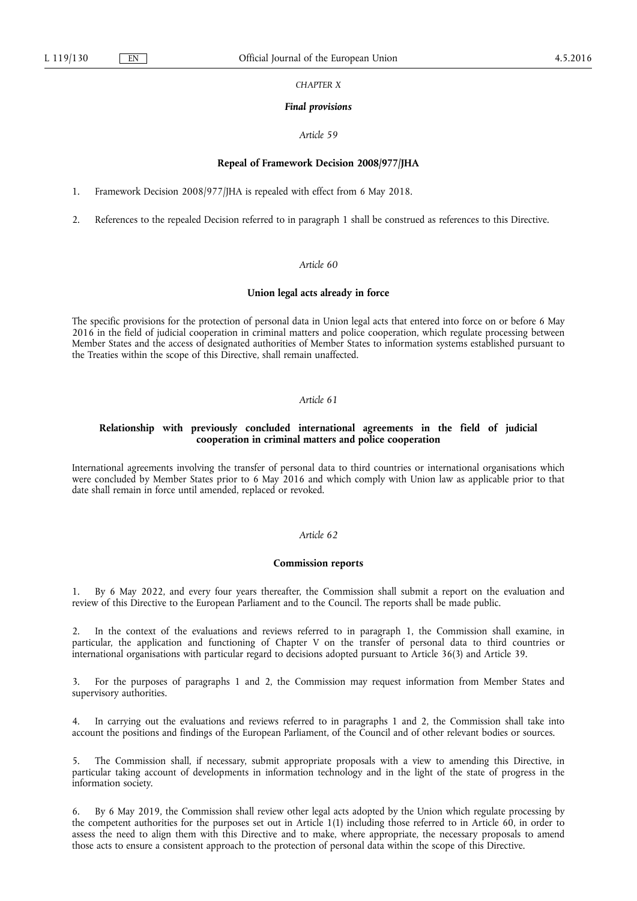### *CHAPTER X*

#### *Final provisions*

### *Article 59*

### **Repeal of Framework Decision 2008/977/JHA**

- 1. Framework Decision 2008/977/JHA is repealed with effect from 6 May 2018.
- 2. References to the repealed Decision referred to in paragraph 1 shall be construed as references to this Directive.

# *Article 60*

### **Union legal acts already in force**

The specific provisions for the protection of personal data in Union legal acts that entered into force on or before 6 May 2016 in the field of judicial cooperation in criminal matters and police cooperation, which regulate processing between Member States and the access of designated authorities of Member States to information systems established pursuant to the Treaties within the scope of this Directive, shall remain unaffected.

### *Article 61*

# **Relationship with previously concluded international agreements in the field of judicial cooperation in criminal matters and police cooperation**

International agreements involving the transfer of personal data to third countries or international organisations which were concluded by Member States prior to 6 May 2016 and which comply with Union law as applicable prior to that date shall remain in force until amended, replaced or revoked.

# *Article 62*

#### **Commission reports**

1. By 6 May 2022, and every four years thereafter, the Commission shall submit a report on the evaluation and review of this Directive to the European Parliament and to the Council. The reports shall be made public.

2. In the context of the evaluations and reviews referred to in paragraph 1, the Commission shall examine, in particular, the application and functioning of Chapter V on the transfer of personal data to third countries or international organisations with particular regard to decisions adopted pursuant to Article 36(3) and Article 39.

3. For the purposes of paragraphs 1 and 2, the Commission may request information from Member States and supervisory authorities.

4. In carrying out the evaluations and reviews referred to in paragraphs 1 and 2, the Commission shall take into account the positions and findings of the European Parliament, of the Council and of other relevant bodies or sources.

The Commission shall, if necessary, submit appropriate proposals with a view to amending this Directive, in particular taking account of developments in information technology and in the light of the state of progress in the information society.

6. By 6 May 2019, the Commission shall review other legal acts adopted by the Union which regulate processing by the competent authorities for the purposes set out in Article 1(1) including those referred to in Article 60, in order to assess the need to align them with this Directive and to make, where appropriate, the necessary proposals to amend those acts to ensure a consistent approach to the protection of personal data within the scope of this Directive.